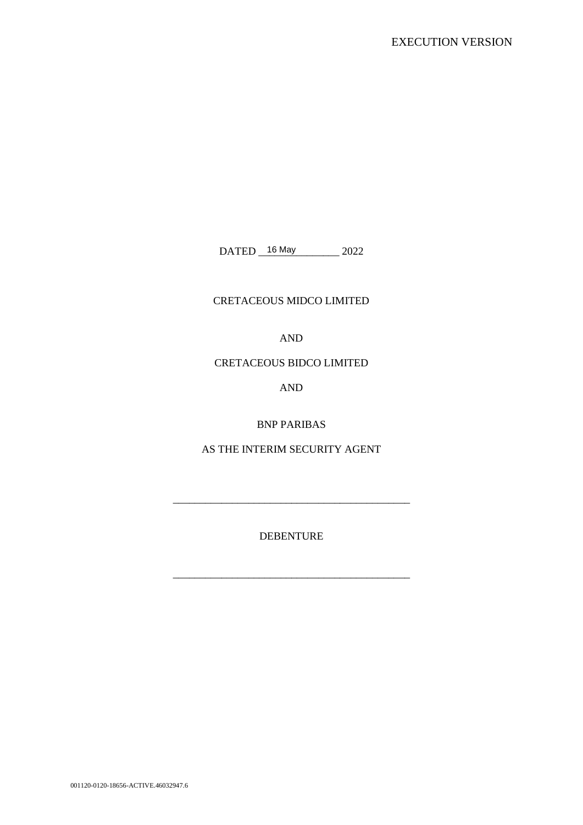DATED 16 May 2022

# CRETACEOUS MIDCO LIMITED

AND

# CRETACEOUS BIDCO LIMITED

AND

BNP PARIBAS

AS THE INTERIM SECURITY AGENT

DEBENTURE

\_\_\_\_\_\_\_\_\_\_\_\_\_\_\_\_\_\_\_\_\_\_\_\_\_\_\_\_\_\_\_\_\_\_\_\_\_\_\_\_\_\_\_\_

\_\_\_\_\_\_\_\_\_\_\_\_\_\_\_\_\_\_\_\_\_\_\_\_\_\_\_\_\_\_\_\_\_\_\_\_\_\_\_\_\_\_\_\_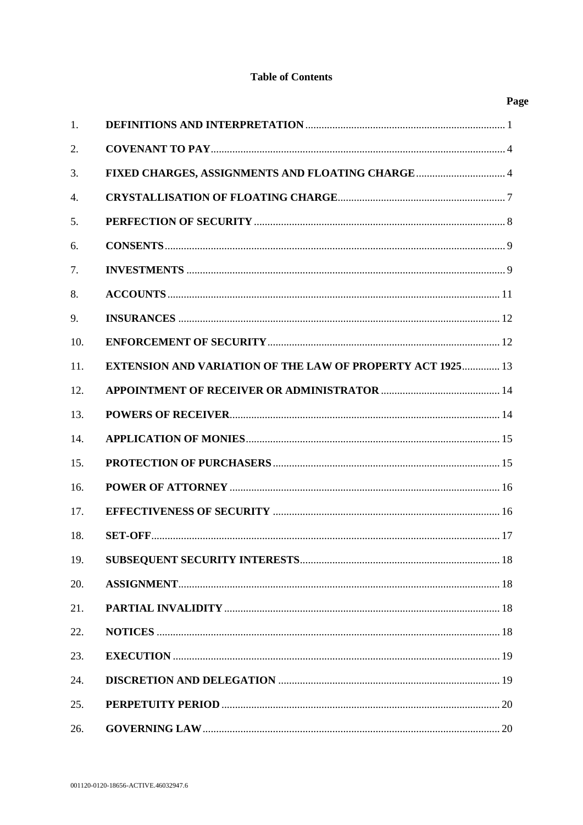# **Table of Contents**

|                  |                                                                   | Page        |
|------------------|-------------------------------------------------------------------|-------------|
| 1.               |                                                                   |             |
| 2.               |                                                                   |             |
| 3.               | FIXED CHARGES, ASSIGNMENTS AND FLOATING CHARGE 4                  |             |
| $\overline{4}$ . |                                                                   |             |
| 5.               |                                                                   |             |
| 6.               |                                                                   |             |
| 7.               |                                                                   |             |
| 8.               |                                                                   |             |
| 9.               |                                                                   |             |
| 10.              |                                                                   |             |
| 11.              | <b>EXTENSION AND VARIATION OF THE LAW OF PROPERTY ACT 1925 13</b> |             |
| 12.              |                                                                   |             |
| 13.              |                                                                   |             |
| 14.              |                                                                   |             |
| 15.              |                                                                   |             |
| 16.              |                                                                   |             |
| 17.              |                                                                   |             |
| 18.              |                                                                   | $\ldots$ 17 |
| 19.              |                                                                   |             |
| 20.              |                                                                   |             |
| 21.              |                                                                   |             |
| 22.              |                                                                   |             |
| 23.              |                                                                   |             |
| 24.              |                                                                   |             |
| 25.              |                                                                   |             |
| 26.              |                                                                   |             |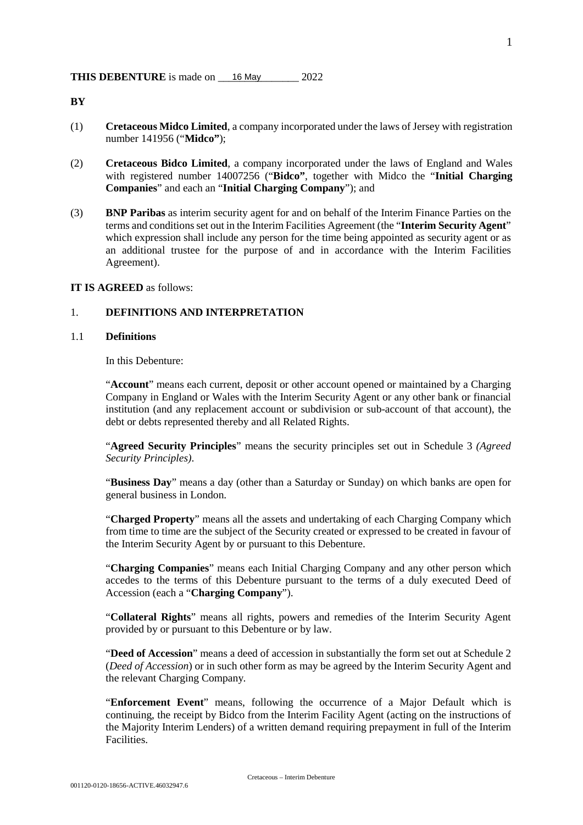**BY** 

- (1) **Cretaceous Midco Limited**, a company incorporated under the laws of Jersey with registration number 141956 ("**Midco"**);
- (2) **Cretaceous Bidco Limited**, a company incorporated under the laws of England and Wales with registered number 14007256 ("**Bidco"**, together with Midco the "**Initial Charging Companies**" and each an "**Initial Charging Company**"); and
- (3) **BNP Paribas** as interim security agent for and on behalf of the Interim Finance Parties on the terms and conditions set out in the Interim Facilities Agreement (the "**Interim Security Agent**" which expression shall include any person for the time being appointed as security agent or as an additional trustee for the purpose of and in accordance with the Interim Facilities Agreement).

## **IT IS AGREED** as follows:

## 1. **DEFINITIONS AND INTERPRETATION**

#### 1.1 **Definitions**

In this Debenture:

"**Account**" means each current, deposit or other account opened or maintained by a Charging Company in England or Wales with the Interim Security Agent or any other bank or financial institution (and any replacement account or subdivision or sub-account of that account), the debt or debts represented thereby and all Related Rights.

"**Agreed Security Principles**" means the security principles set out in Schedule 3 *(Agreed Security Principles)*.

"**Business Day**" means a day (other than a Saturday or Sunday) on which banks are open for general business in London.

"**Charged Property**" means all the assets and undertaking of each Charging Company which from time to time are the subject of the Security created or expressed to be created in favour of the Interim Security Agent by or pursuant to this Debenture.

"**Charging Companies**" means each Initial Charging Company and any other person which accedes to the terms of this Debenture pursuant to the terms of a duly executed Deed of Accession (each a "**Charging Company**").

"**Collateral Rights**" means all rights, powers and remedies of the Interim Security Agent provided by or pursuant to this Debenture or by law.

"**Deed of Accession**" means a deed of accession in substantially the form set out at Schedule 2 (*Deed of Accession*) or in such other form as may be agreed by the Interim Security Agent and the relevant Charging Company*.* 

"**Enforcement Event**" means, following the occurrence of a Major Default which is continuing, the receipt by Bidco from the Interim Facility Agent (acting on the instructions of the Majority Interim Lenders) of a written demand requiring prepayment in full of the Interim Facilities.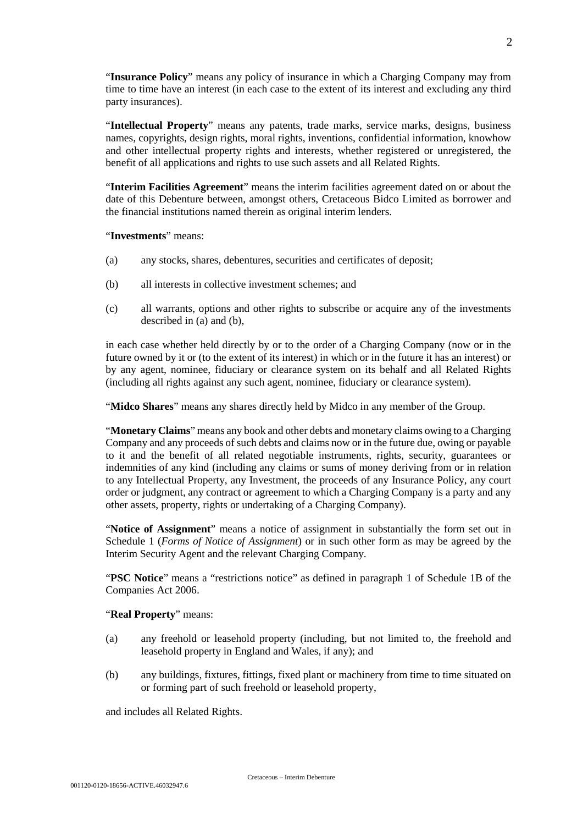"**Insurance Policy**" means any policy of insurance in which a Charging Company may from time to time have an interest (in each case to the extent of its interest and excluding any third party insurances).

"**Intellectual Property**" means any patents, trade marks, service marks, designs, business names, copyrights, design rights, moral rights, inventions, confidential information, knowhow and other intellectual property rights and interests, whether registered or unregistered, the benefit of all applications and rights to use such assets and all Related Rights.

"**Interim Facilities Agreement**" means the interim facilities agreement dated on or about the date of this Debenture between, amongst others, Cretaceous Bidco Limited as borrower and the financial institutions named therein as original interim lenders.

#### "**Investments**" means:

- (a) any stocks, shares, debentures, securities and certificates of deposit;
- (b) all interests in collective investment schemes; and
- (c) all warrants, options and other rights to subscribe or acquire any of the investments described in (a) and (b),

in each case whether held directly by or to the order of a Charging Company (now or in the future owned by it or (to the extent of its interest) in which or in the future it has an interest) or by any agent, nominee, fiduciary or clearance system on its behalf and all Related Rights (including all rights against any such agent, nominee, fiduciary or clearance system).

"**Midco Shares**" means any shares directly held by Midco in any member of the Group.

"**Monetary Claims**" means any book and other debts and monetary claims owing to a Charging Company and any proceeds of such debts and claims now or in the future due, owing or payable to it and the benefit of all related negotiable instruments, rights, security, guarantees or indemnities of any kind (including any claims or sums of money deriving from or in relation to any Intellectual Property, any Investment, the proceeds of any Insurance Policy, any court order or judgment, any contract or agreement to which a Charging Company is a party and any other assets, property, rights or undertaking of a Charging Company).

"**Notice of Assignment**" means a notice of assignment in substantially the form set out in Schedule 1 (*Forms of Notice of Assignment*) or in such other form as may be agreed by the Interim Security Agent and the relevant Charging Company.

"**PSC Notice**" means a "restrictions notice" as defined in paragraph 1 of Schedule 1B of the Companies Act 2006.

#### "**Real Property**" means:

- (a) any freehold or leasehold property (including, but not limited to, the freehold and leasehold property in England and Wales, if any); and
- (b) any buildings, fixtures, fittings, fixed plant or machinery from time to time situated on or forming part of such freehold or leasehold property,

and includes all Related Rights.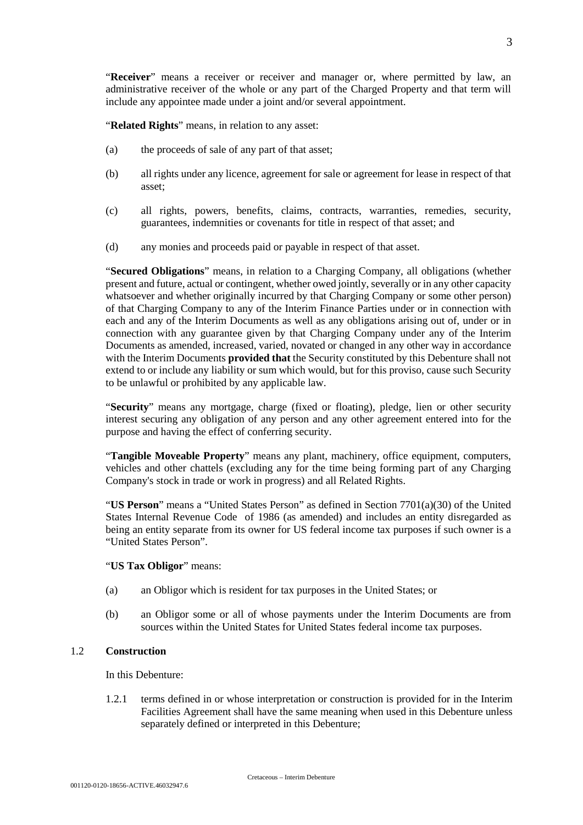"**Related Rights**" means, in relation to any asset:

- (a) the proceeds of sale of any part of that asset;
- (b) all rights under any licence, agreement for sale or agreement for lease in respect of that asset;
- (c) all rights, powers, benefits, claims, contracts, warranties, remedies, security, guarantees, indemnities or covenants for title in respect of that asset; and
- (d) any monies and proceeds paid or payable in respect of that asset.

include any appointee made under a joint and/or several appointment.

"**Secured Obligations**" means, in relation to a Charging Company, all obligations (whether present and future, actual or contingent, whether owed jointly, severally or in any other capacity whatsoever and whether originally incurred by that Charging Company or some other person) of that Charging Company to any of the Interim Finance Parties under or in connection with each and any of the Interim Documents as well as any obligations arising out of, under or in connection with any guarantee given by that Charging Company under any of the Interim Documents as amended, increased, varied, novated or changed in any other way in accordance with the Interim Documents **provided that** the Security constituted by this Debenture shall not extend to or include any liability or sum which would, but for this proviso, cause such Security to be unlawful or prohibited by any applicable law.

"**Security**" means any mortgage, charge (fixed or floating), pledge, lien or other security interest securing any obligation of any person and any other agreement entered into for the purpose and having the effect of conferring security.

"**Tangible Moveable Property**" means any plant, machinery, office equipment, computers, vehicles and other chattels (excluding any for the time being forming part of any Charging Company's stock in trade or work in progress) and all Related Rights.

"**US Person**" means a "United States Person" as defined in Section 7701(a)(30) of the United States Internal Revenue Code of 1986 (as amended) and includes an entity disregarded as being an entity separate from its owner for US federal income tax purposes if such owner is a "United States Person".

### "**US Tax Obligor**" means:

- (a) an Obligor which is resident for tax purposes in the United States; or
- (b) an Obligor some or all of whose payments under the Interim Documents are from sources within the United States for United States federal income tax purposes.

# 1.2 **Construction**

In this Debenture:

1.2.1 terms defined in or whose interpretation or construction is provided for in the Interim Facilities Agreement shall have the same meaning when used in this Debenture unless separately defined or interpreted in this Debenture;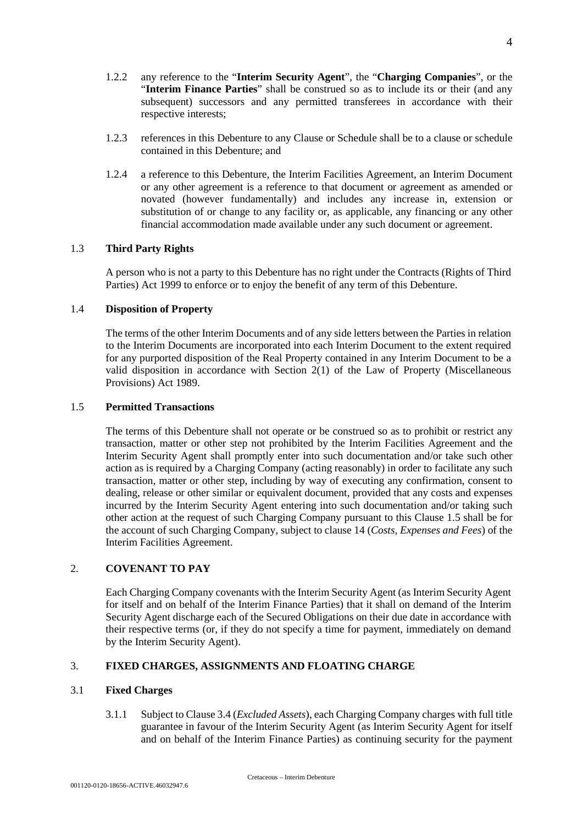- 1.2.2 any reference to the "**Interim Security Agent**", the "**Charging Companies**", or the "**Interim Finance Parties**" shall be construed so as to include its or their (and any subsequent) successors and any permitted transferees in accordance with their respective interests;
- 1.2.3 references in this Debenture to any Clause or Schedule shall be to a clause or schedule contained in this Debenture; and
- 1.2.4 a reference to this Debenture, the Interim Facilities Agreement, an Interim Document or any other agreement is a reference to that document or agreement as amended or novated (however fundamentally) and includes any increase in, extension or substitution of or change to any facility or, as applicable, any financing or any other financial accommodation made available under any such document or agreement.

# 1.3 **Third Party Rights**

A person who is not a party to this Debenture has no right under the Contracts (Rights of Third Parties) Act 1999 to enforce or to enjoy the benefit of any term of this Debenture.

## 1.4 **Disposition of Property**

The terms of the other Interim Documents and of any side letters between the Parties in relation to the Interim Documents are incorporated into each Interim Document to the extent required for any purported disposition of the Real Property contained in any Interim Document to be a valid disposition in accordance with Section 2(1) of the Law of Property (Miscellaneous Provisions) Act 1989.

#### 1.5 **Permitted Transactions**

The terms of this Debenture shall not operate or be construed so as to prohibit or restrict any transaction, matter or other step not prohibited by the Interim Facilities Agreement and the Interim Security Agent shall promptly enter into such documentation and/or take such other action as is required by a Charging Company (acting reasonably) in order to facilitate any such transaction, matter or other step, including by way of executing any confirmation, consent to dealing, release or other similar or equivalent document, provided that any costs and expenses incurred by the Interim Security Agent entering into such documentation and/or taking such other action at the request of such Charging Company pursuant to this Clause 1.5 shall be for the account of such Charging Company, subject to clause 14 (*Costs, Expenses and Fees*) of the Interim Facilities Agreement.

## 2. **COVENANT TO PAY**

Each Charging Company covenants with the Interim Security Agent (as Interim Security Agent for itself and on behalf of the Interim Finance Parties) that it shall on demand of the Interim Security Agent discharge each of the Secured Obligations on their due date in accordance with their respective terms (or, if they do not specify a time for payment, immediately on demand by the Interim Security Agent).

# 3. **FIXED CHARGES, ASSIGNMENTS AND FLOATING CHARGE**

## 3.1 **Fixed Charges**

3.1.1 Subject to Clause 3.4 (*Excluded Assets*), each Charging Company charges with full title guarantee in favour of the Interim Security Agent (as Interim Security Agent for itself and on behalf of the Interim Finance Parties) as continuing security for the payment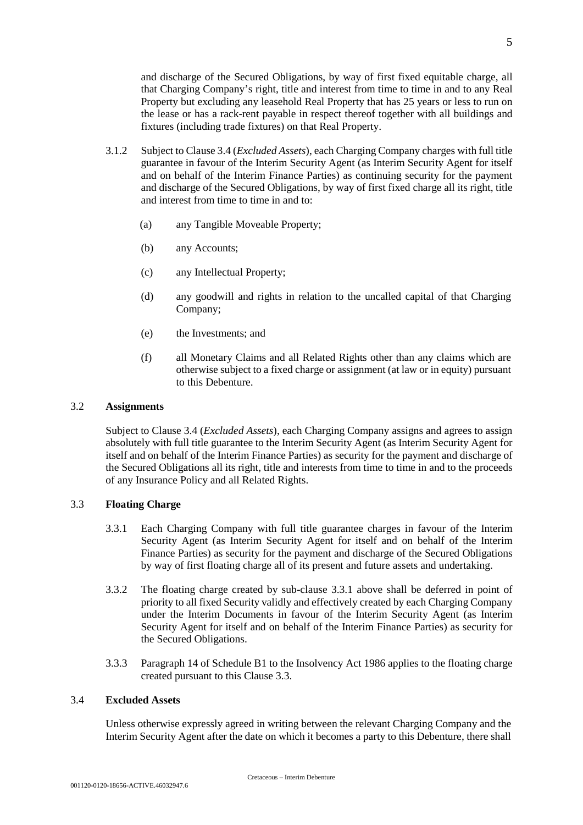and discharge of the Secured Obligations, by way of first fixed equitable charge, all that Charging Company's right, title and interest from time to time in and to any Real Property but excluding any leasehold Real Property that has 25 years or less to run on the lease or has a rack-rent payable in respect thereof together with all buildings and fixtures (including trade fixtures) on that Real Property.

- 3.1.2 Subject to Clause 3.4 (*Excluded Assets*), each Charging Company charges with full title guarantee in favour of the Interim Security Agent (as Interim Security Agent for itself and on behalf of the Interim Finance Parties) as continuing security for the payment and discharge of the Secured Obligations, by way of first fixed charge all its right, title and interest from time to time in and to:
	- (a) any Tangible Moveable Property;
	- (b) any Accounts;
	- (c) any Intellectual Property;
	- (d) any goodwill and rights in relation to the uncalled capital of that Charging Company;
	- (e) the Investments; and
	- (f) all Monetary Claims and all Related Rights other than any claims which are otherwise subject to a fixed charge or assignment (at law or in equity) pursuant to this Debenture.

## 3.2 **Assignments**

Subject to Clause 3.4 (*Excluded Assets*), each Charging Company assigns and agrees to assign absolutely with full title guarantee to the Interim Security Agent (as Interim Security Agent for itself and on behalf of the Interim Finance Parties) as security for the payment and discharge of the Secured Obligations all its right, title and interests from time to time in and to the proceeds of any Insurance Policy and all Related Rights.

# 3.3 **Floating Charge**

- 3.3.1 Each Charging Company with full title guarantee charges in favour of the Interim Security Agent (as Interim Security Agent for itself and on behalf of the Interim Finance Parties) as security for the payment and discharge of the Secured Obligations by way of first floating charge all of its present and future assets and undertaking.
- 3.3.2 The floating charge created by sub-clause 3.3.1 above shall be deferred in point of priority to all fixed Security validly and effectively created by each Charging Company under the Interim Documents in favour of the Interim Security Agent (as Interim Security Agent for itself and on behalf of the Interim Finance Parties) as security for the Secured Obligations.
- 3.3.3 Paragraph 14 of Schedule B1 to the Insolvency Act 1986 applies to the floating charge created pursuant to this Clause 3.3.

#### 3.4 **Excluded Assets**

Unless otherwise expressly agreed in writing between the relevant Charging Company and the Interim Security Agent after the date on which it becomes a party to this Debenture, there shall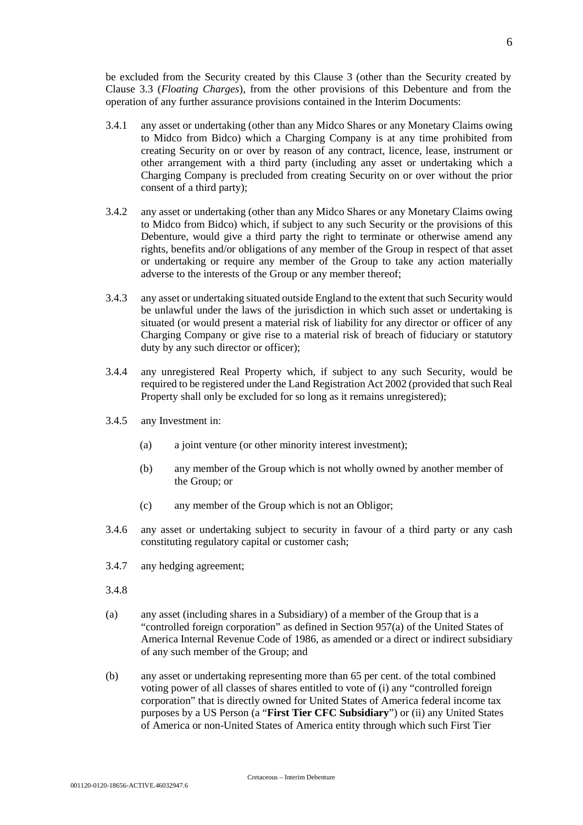be excluded from the Security created by this Clause 3 (other than the Security created by Clause 3.3 (*Floating Charges*), from the other provisions of this Debenture and from the operation of any further assurance provisions contained in the Interim Documents:

- 3.4.1 any asset or undertaking (other than any Midco Shares or any Monetary Claims owing to Midco from Bidco) which a Charging Company is at any time prohibited from creating Security on or over by reason of any contract, licence, lease, instrument or other arrangement with a third party (including any asset or undertaking which a Charging Company is precluded from creating Security on or over without the prior consent of a third party);
- 3.4.2 any asset or undertaking (other than any Midco Shares or any Monetary Claims owing to Midco from Bidco) which, if subject to any such Security or the provisions of this Debenture, would give a third party the right to terminate or otherwise amend any rights, benefits and/or obligations of any member of the Group in respect of that asset or undertaking or require any member of the Group to take any action materially adverse to the interests of the Group or any member thereof;
- 3.4.3 any asset or undertaking situated outside England to the extent that such Security would be unlawful under the laws of the jurisdiction in which such asset or undertaking is situated (or would present a material risk of liability for any director or officer of any Charging Company or give rise to a material risk of breach of fiduciary or statutory duty by any such director or officer);
- 3.4.4 any unregistered Real Property which, if subject to any such Security, would be required to be registered under the Land Registration Act 2002 (provided that such Real Property shall only be excluded for so long as it remains unregistered);
- 3.4.5 any Investment in:
	- (a) a joint venture (or other minority interest investment);
	- (b) any member of the Group which is not wholly owned by another member of the Group; or
	- (c) any member of the Group which is not an Obligor;
- 3.4.6 any asset or undertaking subject to security in favour of a third party or any cash constituting regulatory capital or customer cash;
- 3.4.7 any hedging agreement;
- 3.4.8
- (a) any asset (including shares in a Subsidiary) of a member of the Group that is a "controlled foreign corporation" as defined in Section 957(a) of the United States of America Internal Revenue Code of 1986, as amended or a direct or indirect subsidiary of any such member of the Group; and
- (b) any asset or undertaking representing more than 65 per cent. of the total combined voting power of all classes of shares entitled to vote of (i) any "controlled foreign corporation" that is directly owned for United States of America federal income tax purposes by a US Person (a "**First Tier CFC Subsidiary**") or (ii) any United States of America or non-United States of America entity through which such First Tier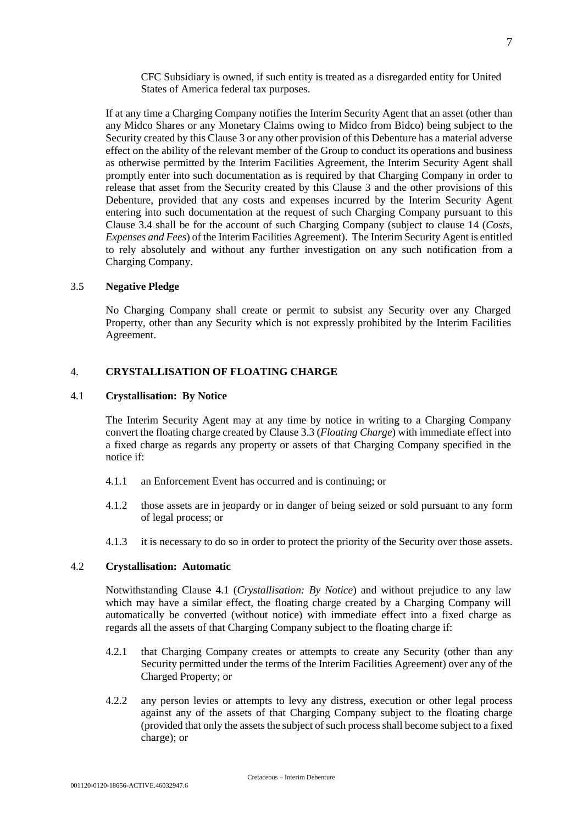CFC Subsidiary is owned, if such entity is treated as a disregarded entity for United States of America federal tax purposes.

If at any time a Charging Company notifies the Interim Security Agent that an asset (other than any Midco Shares or any Monetary Claims owing to Midco from Bidco) being subject to the Security created by this Clause 3 or any other provision of this Debenture has a material adverse effect on the ability of the relevant member of the Group to conduct its operations and business as otherwise permitted by the Interim Facilities Agreement, the Interim Security Agent shall promptly enter into such documentation as is required by that Charging Company in order to release that asset from the Security created by this Clause 3 and the other provisions of this Debenture, provided that any costs and expenses incurred by the Interim Security Agent entering into such documentation at the request of such Charging Company pursuant to this Clause 3.4 shall be for the account of such Charging Company (subject to clause 14 (*Costs, Expenses and Fees*) of the Interim Facilities Agreement). The Interim Security Agent is entitled to rely absolutely and without any further investigation on any such notification from a Charging Company.

#### 3.5 **Negative Pledge**

No Charging Company shall create or permit to subsist any Security over any Charged Property, other than any Security which is not expressly prohibited by the Interim Facilities Agreement.

### 4. **CRYSTALLISATION OF FLOATING CHARGE**

#### 4.1 **Crystallisation: By Notice**

The Interim Security Agent may at any time by notice in writing to a Charging Company convert the floating charge created by Clause 3.3 (*Floating Charge*) with immediate effect into a fixed charge as regards any property or assets of that Charging Company specified in the notice if:

- 4.1.1 an Enforcement Event has occurred and is continuing; or
- 4.1.2 those assets are in jeopardy or in danger of being seized or sold pursuant to any form of legal process; or
- 4.1.3 it is necessary to do so in order to protect the priority of the Security over those assets.

## 4.2 **Crystallisation: Automatic**

Notwithstanding Clause 4.1 (*Crystallisation: By Notice*) and without prejudice to any law which may have a similar effect, the floating charge created by a Charging Company will automatically be converted (without notice) with immediate effect into a fixed charge as regards all the assets of that Charging Company subject to the floating charge if:

- 4.2.1 that Charging Company creates or attempts to create any Security (other than any Security permitted under the terms of the Interim Facilities Agreement) over any of the Charged Property; or
- 4.2.2 any person levies or attempts to levy any distress, execution or other legal process against any of the assets of that Charging Company subject to the floating charge (provided that only the assets the subject of such process shall become subject to a fixed charge); or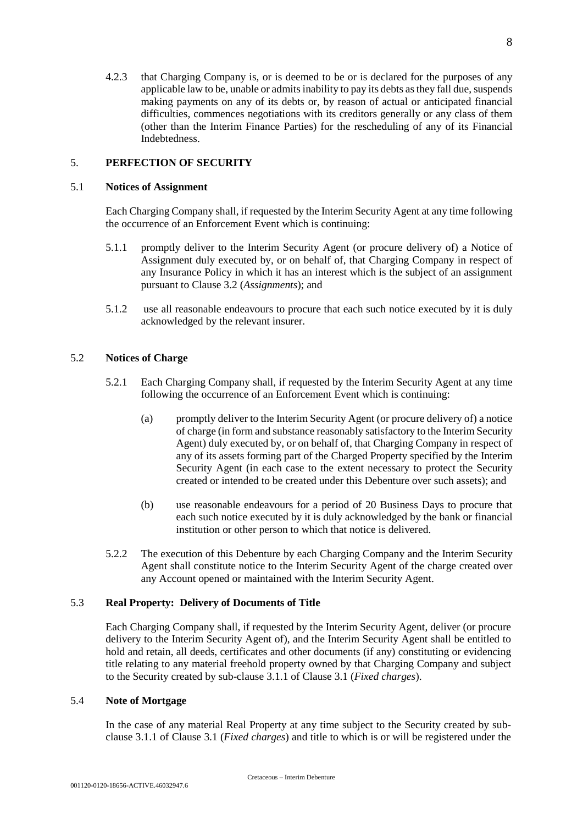4.2.3 that Charging Company is, or is deemed to be or is declared for the purposes of any applicable law to be, unable or admits inability to pay its debts as they fall due, suspends making payments on any of its debts or, by reason of actual or anticipated financial difficulties, commences negotiations with its creditors generally or any class of them (other than the Interim Finance Parties) for the rescheduling of any of its Financial Indebtedness.

# 5. **PERFECTION OF SECURITY**

## 5.1 **Notices of Assignment**

Each Charging Company shall, if requested by the Interim Security Agent at any time following the occurrence of an Enforcement Event which is continuing:

- 5.1.1 promptly deliver to the Interim Security Agent (or procure delivery of) a Notice of Assignment duly executed by, or on behalf of, that Charging Company in respect of any Insurance Policy in which it has an interest which is the subject of an assignment pursuant to Clause 3.2 (*Assignments*); and
- 5.1.2 use all reasonable endeavours to procure that each such notice executed by it is duly acknowledged by the relevant insurer.

## 5.2 **Notices of Charge**

- 5.2.1 Each Charging Company shall, if requested by the Interim Security Agent at any time following the occurrence of an Enforcement Event which is continuing:
	- (a) promptly deliver to the Interim Security Agent (or procure delivery of) a notice of charge (in form and substance reasonably satisfactory to the Interim Security Agent) duly executed by, or on behalf of, that Charging Company in respect of any of its assets forming part of the Charged Property specified by the Interim Security Agent (in each case to the extent necessary to protect the Security created or intended to be created under this Debenture over such assets); and
	- (b) use reasonable endeavours for a period of 20 Business Days to procure that each such notice executed by it is duly acknowledged by the bank or financial institution or other person to which that notice is delivered.
- 5.2.2 The execution of this Debenture by each Charging Company and the Interim Security Agent shall constitute notice to the Interim Security Agent of the charge created over any Account opened or maintained with the Interim Security Agent.

## 5.3 **Real Property: Delivery of Documents of Title**

Each Charging Company shall, if requested by the Interim Security Agent, deliver (or procure delivery to the Interim Security Agent of), and the Interim Security Agent shall be entitled to hold and retain, all deeds, certificates and other documents (if any) constituting or evidencing title relating to any material freehold property owned by that Charging Company and subject to the Security created by sub-clause 3.1.1 of Clause 3.1 (*Fixed charges*).

# 5.4 **Note of Mortgage**

In the case of any material Real Property at any time subject to the Security created by subclause 3.1.1 of Clause 3.1 (*Fixed charges*) and title to which is or will be registered under the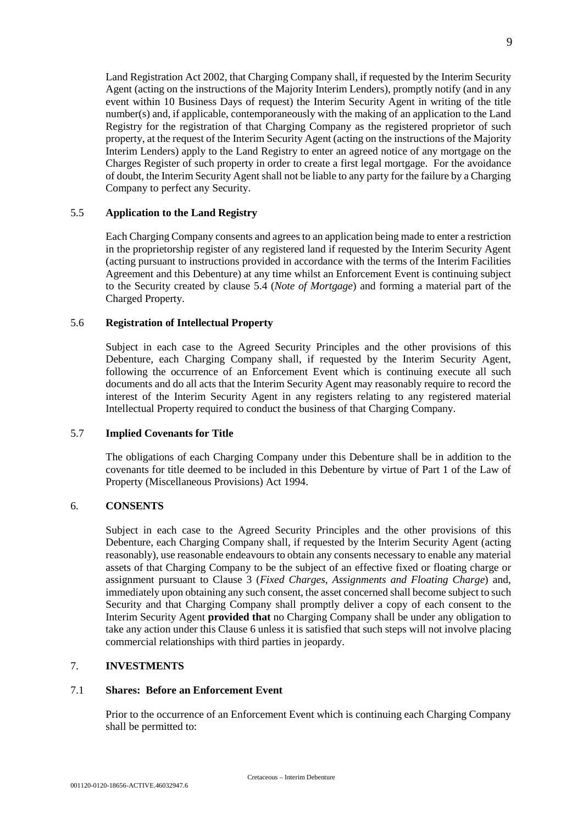Land Registration Act 2002, that Charging Company shall, if requested by the Interim Security Agent (acting on the instructions of the Majority Interim Lenders), promptly notify (and in any event within 10 Business Days of request) the Interim Security Agent in writing of the title number(s) and, if applicable, contemporaneously with the making of an application to the Land Registry for the registration of that Charging Company as the registered proprietor of such property, at the request of the Interim Security Agent (acting on the instructions of the Majority Interim Lenders) apply to the Land Registry to enter an agreed notice of any mortgage on the Charges Register of such property in order to create a first legal mortgage. For the avoidance of doubt, the Interim Security Agent shall not be liable to any party for the failure by a Charging Company to perfect any Security.

## 5.5 **Application to the Land Registry**

Each Charging Company consents and agrees to an application being made to enter a restriction in the proprietorship register of any registered land if requested by the Interim Security Agent (acting pursuant to instructions provided in accordance with the terms of the Interim Facilities Agreement and this Debenture) at any time whilst an Enforcement Event is continuing subject to the Security created by clause 5.4 (*Note of Mortgage*) and forming a material part of the Charged Property.

## 5.6 **Registration of Intellectual Property**

Subject in each case to the Agreed Security Principles and the other provisions of this Debenture, each Charging Company shall, if requested by the Interim Security Agent, following the occurrence of an Enforcement Event which is continuing execute all such documents and do all acts that the Interim Security Agent may reasonably require to record the interest of the Interim Security Agent in any registers relating to any registered material Intellectual Property required to conduct the business of that Charging Company.

## 5.7 **Implied Covenants for Title**

The obligations of each Charging Company under this Debenture shall be in addition to the covenants for title deemed to be included in this Debenture by virtue of Part 1 of the Law of Property (Miscellaneous Provisions) Act 1994.

#### 6. **CONSENTS**

Subject in each case to the Agreed Security Principles and the other provisions of this Debenture, each Charging Company shall, if requested by the Interim Security Agent (acting reasonably), use reasonable endeavours to obtain any consents necessary to enable any material assets of that Charging Company to be the subject of an effective fixed or floating charge or assignment pursuant to Clause 3 (*Fixed Charges, Assignments and Floating Charge*) and, immediately upon obtaining any such consent, the asset concerned shall become subject to such Security and that Charging Company shall promptly deliver a copy of each consent to the Interim Security Agent **provided that** no Charging Company shall be under any obligation to take any action under this Clause 6 unless it is satisfied that such steps will not involve placing commercial relationships with third parties in jeopardy.

## 7. **INVESTMENTS**

#### 7.1 **Shares: Before an Enforcement Event**

Prior to the occurrence of an Enforcement Event which is continuing each Charging Company shall be permitted to: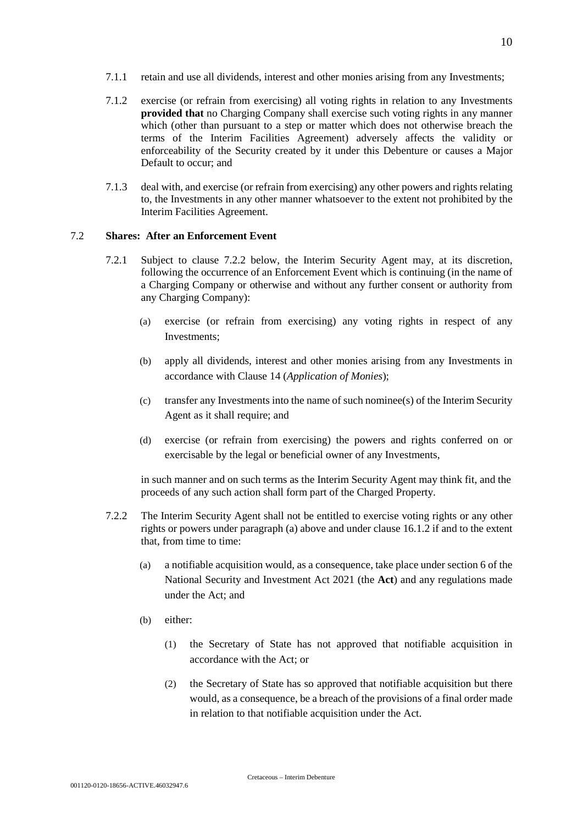- 7.1.1 retain and use all dividends, interest and other monies arising from any Investments;
- 7.1.2 exercise (or refrain from exercising) all voting rights in relation to any Investments **provided that** no Charging Company shall exercise such voting rights in any manner which (other than pursuant to a step or matter which does not otherwise breach the terms of the Interim Facilities Agreement) adversely affects the validity or enforceability of the Security created by it under this Debenture or causes a Major Default to occur; and
- 7.1.3 deal with, and exercise (or refrain from exercising) any other powers and rights relating to, the Investments in any other manner whatsoever to the extent not prohibited by the Interim Facilities Agreement.

# 7.2 **Shares: After an Enforcement Event**

- 7.2.1 Subject to clause 7.2.2 below, the Interim Security Agent may, at its discretion, following the occurrence of an Enforcement Event which is continuing (in the name of a Charging Company or otherwise and without any further consent or authority from any Charging Company):
	- (a) exercise (or refrain from exercising) any voting rights in respect of any Investments;
	- (b) apply all dividends, interest and other monies arising from any Investments in accordance with Clause 14 (*Application of Monies*);
	- (c) transfer any Investments into the name of such nominee(s) of the Interim Security Agent as it shall require; and
	- (d) exercise (or refrain from exercising) the powers and rights conferred on or exercisable by the legal or beneficial owner of any Investments,

in such manner and on such terms as the Interim Security Agent may think fit, and the proceeds of any such action shall form part of the Charged Property.

- 7.2.2 The Interim Security Agent shall not be entitled to exercise voting rights or any other rights or powers under paragraph (a) above and under clause 16.1.2 if and to the extent that, from time to time:
	- (a) a notifiable acquisition would, as a consequence, take place under section 6 of the National Security and Investment Act 2021 (the **Act**) and any regulations made under the Act; and
	- (b) either:
		- (1) the Secretary of State has not approved that notifiable acquisition in accordance with the Act; or
		- (2) the Secretary of State has so approved that notifiable acquisition but there would, as a consequence, be a breach of the provisions of a final order made in relation to that notifiable acquisition under the Act.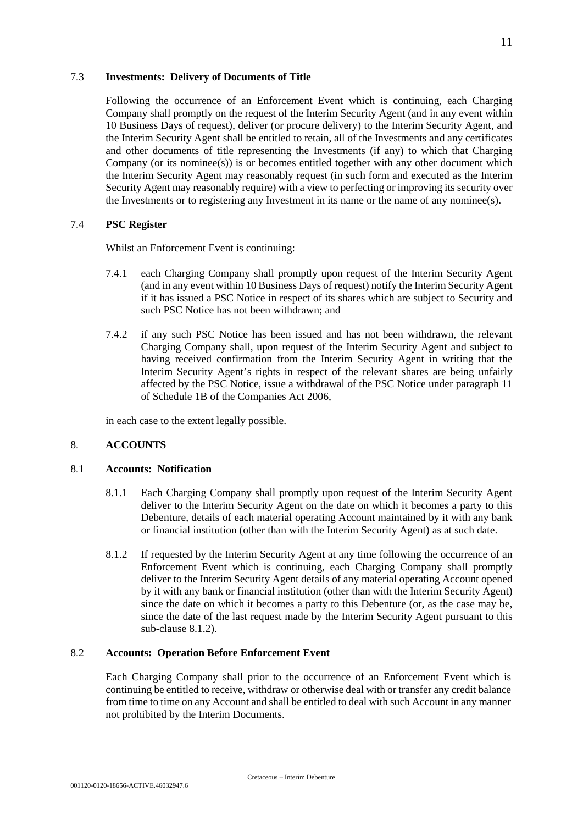#### 7.3 **Investments: Delivery of Documents of Title**

Following the occurrence of an Enforcement Event which is continuing, each Charging Company shall promptly on the request of the Interim Security Agent (and in any event within 10 Business Days of request), deliver (or procure delivery) to the Interim Security Agent, and the Interim Security Agent shall be entitled to retain, all of the Investments and any certificates and other documents of title representing the Investments (if any) to which that Charging Company (or its nominee(s)) is or becomes entitled together with any other document which the Interim Security Agent may reasonably request (in such form and executed as the Interim Security Agent may reasonably require) with a view to perfecting or improving its security over the Investments or to registering any Investment in its name or the name of any nominee(s).

## 7.4 **PSC Register**

Whilst an Enforcement Event is continuing:

- 7.4.1 each Charging Company shall promptly upon request of the Interim Security Agent (and in any event within 10 Business Days of request) notify the Interim Security Agent if it has issued a PSC Notice in respect of its shares which are subject to Security and such PSC Notice has not been withdrawn; and
- 7.4.2 if any such PSC Notice has been issued and has not been withdrawn, the relevant Charging Company shall, upon request of the Interim Security Agent and subject to having received confirmation from the Interim Security Agent in writing that the Interim Security Agent's rights in respect of the relevant shares are being unfairly affected by the PSC Notice, issue a withdrawal of the PSC Notice under paragraph 11 of Schedule 1B of the Companies Act 2006,

in each case to the extent legally possible.

# 8. **ACCOUNTS**

#### 8.1 **Accounts: Notification**

- 8.1.1 Each Charging Company shall promptly upon request of the Interim Security Agent deliver to the Interim Security Agent on the date on which it becomes a party to this Debenture, details of each material operating Account maintained by it with any bank or financial institution (other than with the Interim Security Agent) as at such date.
- 8.1.2 If requested by the Interim Security Agent at any time following the occurrence of an Enforcement Event which is continuing, each Charging Company shall promptly deliver to the Interim Security Agent details of any material operating Account opened by it with any bank or financial institution (other than with the Interim Security Agent) since the date on which it becomes a party to this Debenture (or, as the case may be, since the date of the last request made by the Interim Security Agent pursuant to this sub-clause 8.1.2).

### 8.2 **Accounts: Operation Before Enforcement Event**

Each Charging Company shall prior to the occurrence of an Enforcement Event which is continuing be entitled to receive, withdraw or otherwise deal with or transfer any credit balance from time to time on any Account and shall be entitled to deal with such Account in any manner not prohibited by the Interim Documents.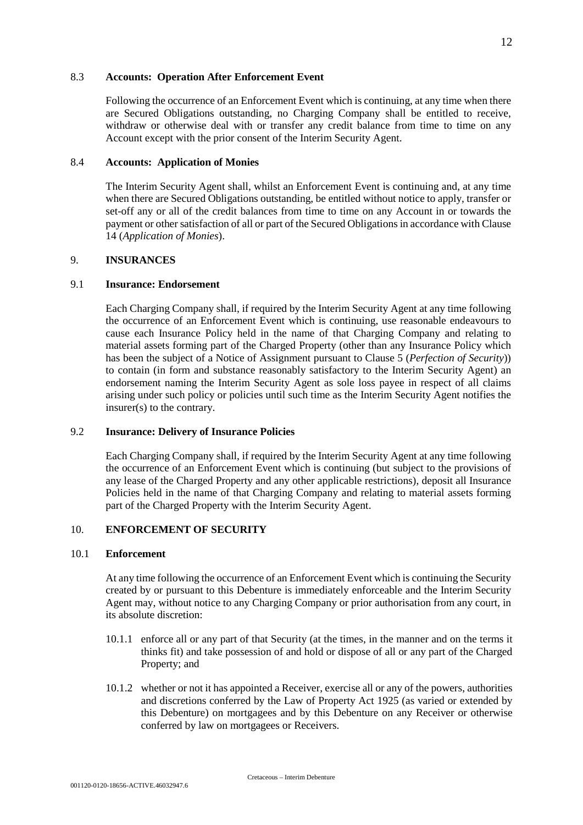#### 8.3 **Accounts: Operation After Enforcement Event**

Following the occurrence of an Enforcement Event which is continuing, at any time when there are Secured Obligations outstanding, no Charging Company shall be entitled to receive, withdraw or otherwise deal with or transfer any credit balance from time to time on any Account except with the prior consent of the Interim Security Agent.

#### 8.4 **Accounts: Application of Monies**

The Interim Security Agent shall, whilst an Enforcement Event is continuing and, at any time when there are Secured Obligations outstanding, be entitled without notice to apply, transfer or set-off any or all of the credit balances from time to time on any Account in or towards the payment or other satisfaction of all or part of the Secured Obligations in accordance with Clause 14 (*Application of Monies*).

## 9. **INSURANCES**

#### 9.1 **Insurance: Endorsement**

Each Charging Company shall, if required by the Interim Security Agent at any time following the occurrence of an Enforcement Event which is continuing, use reasonable endeavours to cause each Insurance Policy held in the name of that Charging Company and relating to material assets forming part of the Charged Property (other than any Insurance Policy which has been the subject of a Notice of Assignment pursuant to Clause 5 (*Perfection of Security*)) to contain (in form and substance reasonably satisfactory to the Interim Security Agent) an endorsement naming the Interim Security Agent as sole loss payee in respect of all claims arising under such policy or policies until such time as the Interim Security Agent notifies the insurer(s) to the contrary.

#### 9.2 **Insurance: Delivery of Insurance Policies**

Each Charging Company shall, if required by the Interim Security Agent at any time following the occurrence of an Enforcement Event which is continuing (but subject to the provisions of any lease of the Charged Property and any other applicable restrictions), deposit all Insurance Policies held in the name of that Charging Company and relating to material assets forming part of the Charged Property with the Interim Security Agent.

# 10. **ENFORCEMENT OF SECURITY**

#### 10.1 **Enforcement**

At any time following the occurrence of an Enforcement Event which is continuing the Security created by or pursuant to this Debenture is immediately enforceable and the Interim Security Agent may, without notice to any Charging Company or prior authorisation from any court, in its absolute discretion:

- 10.1.1 enforce all or any part of that Security (at the times, in the manner and on the terms it thinks fit) and take possession of and hold or dispose of all or any part of the Charged Property; and
- 10.1.2 whether or not it has appointed a Receiver, exercise all or any of the powers, authorities and discretions conferred by the Law of Property Act 1925 (as varied or extended by this Debenture) on mortgagees and by this Debenture on any Receiver or otherwise conferred by law on mortgagees or Receivers.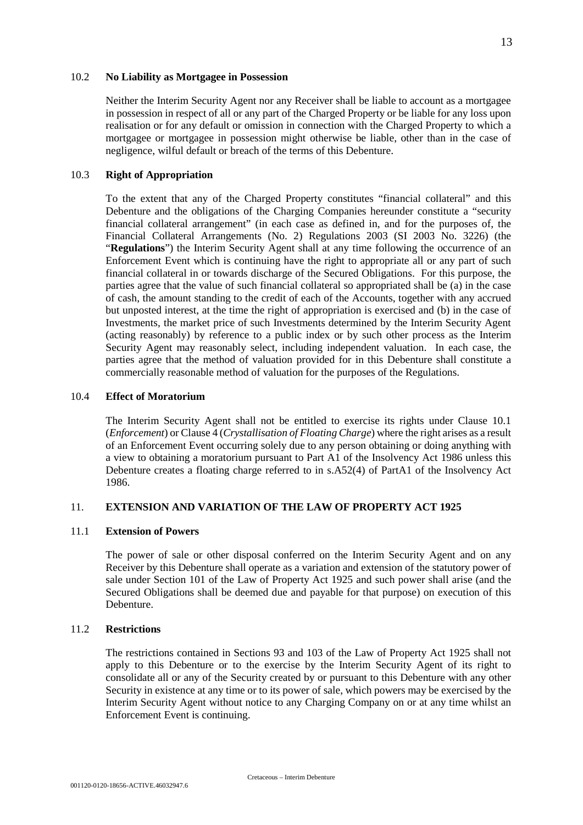#### 10.2 **No Liability as Mortgagee in Possession**

Neither the Interim Security Agent nor any Receiver shall be liable to account as a mortgagee in possession in respect of all or any part of the Charged Property or be liable for any loss upon realisation or for any default or omission in connection with the Charged Property to which a mortgagee or mortgagee in possession might otherwise be liable, other than in the case of negligence, wilful default or breach of the terms of this Debenture.

## 10.3 **Right of Appropriation**

To the extent that any of the Charged Property constitutes "financial collateral" and this Debenture and the obligations of the Charging Companies hereunder constitute a "security financial collateral arrangement" (in each case as defined in, and for the purposes of, the Financial Collateral Arrangements (No. 2) Regulations 2003 (SI 2003 No. 3226) (the "**Regulations**") the Interim Security Agent shall at any time following the occurrence of an Enforcement Event which is continuing have the right to appropriate all or any part of such financial collateral in or towards discharge of the Secured Obligations. For this purpose, the parties agree that the value of such financial collateral so appropriated shall be (a) in the case of cash, the amount standing to the credit of each of the Accounts, together with any accrued but unposted interest, at the time the right of appropriation is exercised and (b) in the case of Investments, the market price of such Investments determined by the Interim Security Agent (acting reasonably) by reference to a public index or by such other process as the Interim Security Agent may reasonably select, including independent valuation. In each case, the parties agree that the method of valuation provided for in this Debenture shall constitute a commercially reasonable method of valuation for the purposes of the Regulations.

## 10.4 **Effect of Moratorium**

The Interim Security Agent shall not be entitled to exercise its rights under Clause 10.1 (*Enforcement*) or Clause 4 (*Crystallisation of Floating Charge*) where the right arises as a result of an Enforcement Event occurring solely due to any person obtaining or doing anything with a view to obtaining a moratorium pursuant to Part A1 of the Insolvency Act 1986 unless this Debenture creates a floating charge referred to in s.A52(4) of PartA1 of the Insolvency Act 1986.

## 11. **EXTENSION AND VARIATION OF THE LAW OF PROPERTY ACT 1925**

#### 11.1 **Extension of Powers**

The power of sale or other disposal conferred on the Interim Security Agent and on any Receiver by this Debenture shall operate as a variation and extension of the statutory power of sale under Section 101 of the Law of Property Act 1925 and such power shall arise (and the Secured Obligations shall be deemed due and payable for that purpose) on execution of this Debenture.

## 11.2 **Restrictions**

The restrictions contained in Sections 93 and 103 of the Law of Property Act 1925 shall not apply to this Debenture or to the exercise by the Interim Security Agent of its right to consolidate all or any of the Security created by or pursuant to this Debenture with any other Security in existence at any time or to its power of sale, which powers may be exercised by the Interim Security Agent without notice to any Charging Company on or at any time whilst an Enforcement Event is continuing.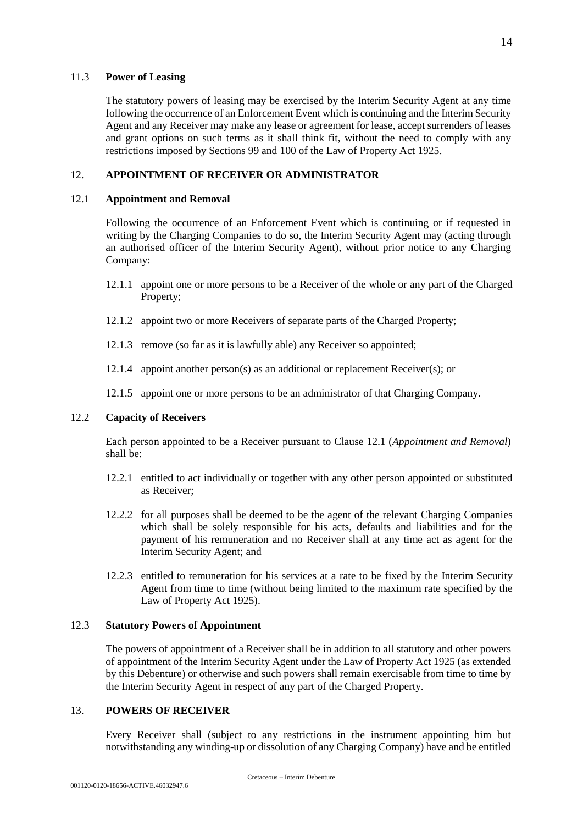#### 11.3 **Power of Leasing**

The statutory powers of leasing may be exercised by the Interim Security Agent at any time following the occurrence of an Enforcement Event which is continuing and the Interim Security Agent and any Receiver may make any lease or agreement for lease, accept surrenders of leases and grant options on such terms as it shall think fit, without the need to comply with any restrictions imposed by Sections 99 and 100 of the Law of Property Act 1925.

# 12. **APPOINTMENT OF RECEIVER OR ADMINISTRATOR**

### 12.1 **Appointment and Removal**

Following the occurrence of an Enforcement Event which is continuing or if requested in writing by the Charging Companies to do so, the Interim Security Agent may (acting through an authorised officer of the Interim Security Agent), without prior notice to any Charging Company:

- 12.1.1 appoint one or more persons to be a Receiver of the whole or any part of the Charged Property;
- 12.1.2 appoint two or more Receivers of separate parts of the Charged Property;
- 12.1.3 remove (so far as it is lawfully able) any Receiver so appointed;
- 12.1.4 appoint another person(s) as an additional or replacement Receiver(s); or
- 12.1.5 appoint one or more persons to be an administrator of that Charging Company.

# 12.2 **Capacity of Receivers**

Each person appointed to be a Receiver pursuant to Clause 12.1 (*Appointment and Removal*) shall be:

- 12.2.1 entitled to act individually or together with any other person appointed or substituted as Receiver;
- 12.2.2 for all purposes shall be deemed to be the agent of the relevant Charging Companies which shall be solely responsible for his acts, defaults and liabilities and for the payment of his remuneration and no Receiver shall at any time act as agent for the Interim Security Agent; and
- 12.2.3 entitled to remuneration for his services at a rate to be fixed by the Interim Security Agent from time to time (without being limited to the maximum rate specified by the Law of Property Act 1925).

#### 12.3 **Statutory Powers of Appointment**

The powers of appointment of a Receiver shall be in addition to all statutory and other powers of appointment of the Interim Security Agent under the Law of Property Act 1925 (as extended by this Debenture) or otherwise and such powers shall remain exercisable from time to time by the Interim Security Agent in respect of any part of the Charged Property.

# 13. **POWERS OF RECEIVER**

Every Receiver shall (subject to any restrictions in the instrument appointing him but notwithstanding any winding-up or dissolution of any Charging Company) have and be entitled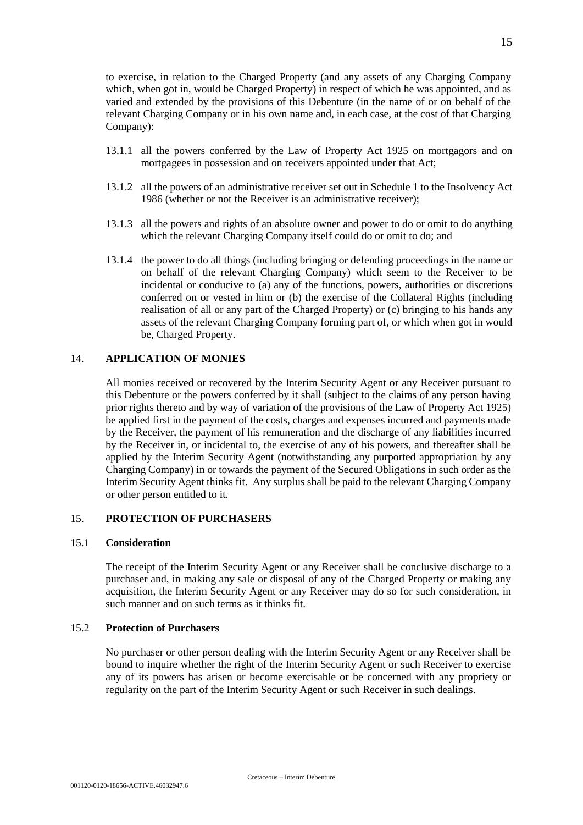to exercise, in relation to the Charged Property (and any assets of any Charging Company which, when got in, would be Charged Property) in respect of which he was appointed, and as varied and extended by the provisions of this Debenture (in the name of or on behalf of the relevant Charging Company or in his own name and, in each case, at the cost of that Charging Company):

- 13.1.1 all the powers conferred by the Law of Property Act 1925 on mortgagors and on mortgagees in possession and on receivers appointed under that Act;
- 13.1.2 all the powers of an administrative receiver set out in Schedule 1 to the Insolvency Act 1986 (whether or not the Receiver is an administrative receiver);
- 13.1.3 all the powers and rights of an absolute owner and power to do or omit to do anything which the relevant Charging Company itself could do or omit to do; and
- 13.1.4 the power to do all things (including bringing or defending proceedings in the name or on behalf of the relevant Charging Company) which seem to the Receiver to be incidental or conducive to (a) any of the functions, powers, authorities or discretions conferred on or vested in him or (b) the exercise of the Collateral Rights (including realisation of all or any part of the Charged Property) or (c) bringing to his hands any assets of the relevant Charging Company forming part of, or which when got in would be, Charged Property.

## 14. **APPLICATION OF MONIES**

All monies received or recovered by the Interim Security Agent or any Receiver pursuant to this Debenture or the powers conferred by it shall (subject to the claims of any person having prior rights thereto and by way of variation of the provisions of the Law of Property Act 1925) be applied first in the payment of the costs, charges and expenses incurred and payments made by the Receiver, the payment of his remuneration and the discharge of any liabilities incurred by the Receiver in, or incidental to, the exercise of any of his powers, and thereafter shall be applied by the Interim Security Agent (notwithstanding any purported appropriation by any Charging Company) in or towards the payment of the Secured Obligations in such order as the Interim Security Agent thinks fit. Any surplus shall be paid to the relevant Charging Company or other person entitled to it.

## 15. **PROTECTION OF PURCHASERS**

## 15.1 **Consideration**

The receipt of the Interim Security Agent or any Receiver shall be conclusive discharge to a purchaser and, in making any sale or disposal of any of the Charged Property or making any acquisition, the Interim Security Agent or any Receiver may do so for such consideration, in such manner and on such terms as it thinks fit.

## 15.2 **Protection of Purchasers**

No purchaser or other person dealing with the Interim Security Agent or any Receiver shall be bound to inquire whether the right of the Interim Security Agent or such Receiver to exercise any of its powers has arisen or become exercisable or be concerned with any propriety or regularity on the part of the Interim Security Agent or such Receiver in such dealings.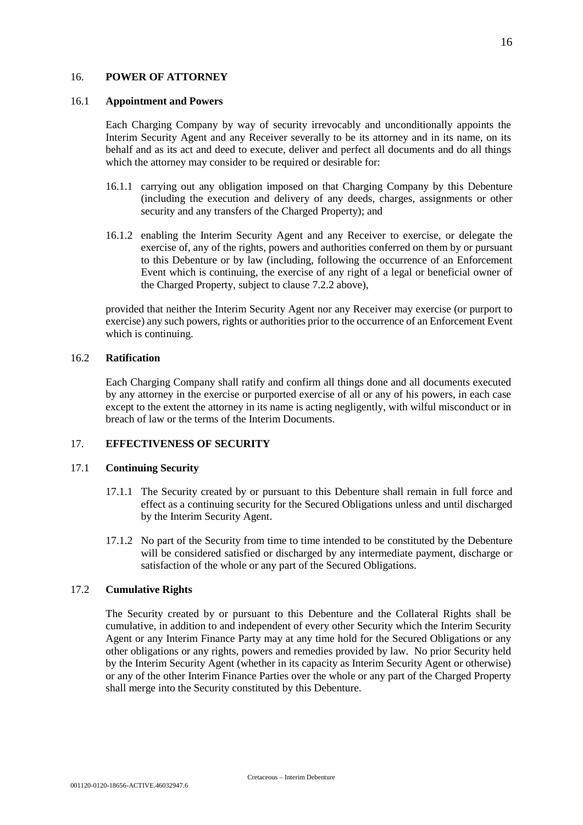#### 16. **POWER OF ATTORNEY**

#### 16.1 **Appointment and Powers**

Each Charging Company by way of security irrevocably and unconditionally appoints the Interim Security Agent and any Receiver severally to be its attorney and in its name, on its behalf and as its act and deed to execute, deliver and perfect all documents and do all things which the attorney may consider to be required or desirable for:

- 16.1.1 carrying out any obligation imposed on that Charging Company by this Debenture (including the execution and delivery of any deeds, charges, assignments or other security and any transfers of the Charged Property); and
- 16.1.2 enabling the Interim Security Agent and any Receiver to exercise, or delegate the exercise of, any of the rights, powers and authorities conferred on them by or pursuant to this Debenture or by law (including, following the occurrence of an Enforcement Event which is continuing, the exercise of any right of a legal or beneficial owner of the Charged Property, subject to clause 7.2.2 above),

provided that neither the Interim Security Agent nor any Receiver may exercise (or purport to exercise) any such powers, rights or authorities prior to the occurrence of an Enforcement Event which is continuing.

#### 16.2 **Ratification**

Each Charging Company shall ratify and confirm all things done and all documents executed by any attorney in the exercise or purported exercise of all or any of his powers, in each case except to the extent the attorney in its name is acting negligently, with wilful misconduct or in breach of law or the terms of the Interim Documents.

## 17. **EFFECTIVENESS OF SECURITY**

#### 17.1 **Continuing Security**

- 17.1.1 The Security created by or pursuant to this Debenture shall remain in full force and effect as a continuing security for the Secured Obligations unless and until discharged by the Interim Security Agent.
- 17.1.2 No part of the Security from time to time intended to be constituted by the Debenture will be considered satisfied or discharged by any intermediate payment, discharge or satisfaction of the whole or any part of the Secured Obligations.

# 17.2 **Cumulative Rights**

The Security created by or pursuant to this Debenture and the Collateral Rights shall be cumulative, in addition to and independent of every other Security which the Interim Security Agent or any Interim Finance Party may at any time hold for the Secured Obligations or any other obligations or any rights, powers and remedies provided by law. No prior Security held by the Interim Security Agent (whether in its capacity as Interim Security Agent or otherwise) or any of the other Interim Finance Parties over the whole or any part of the Charged Property shall merge into the Security constituted by this Debenture.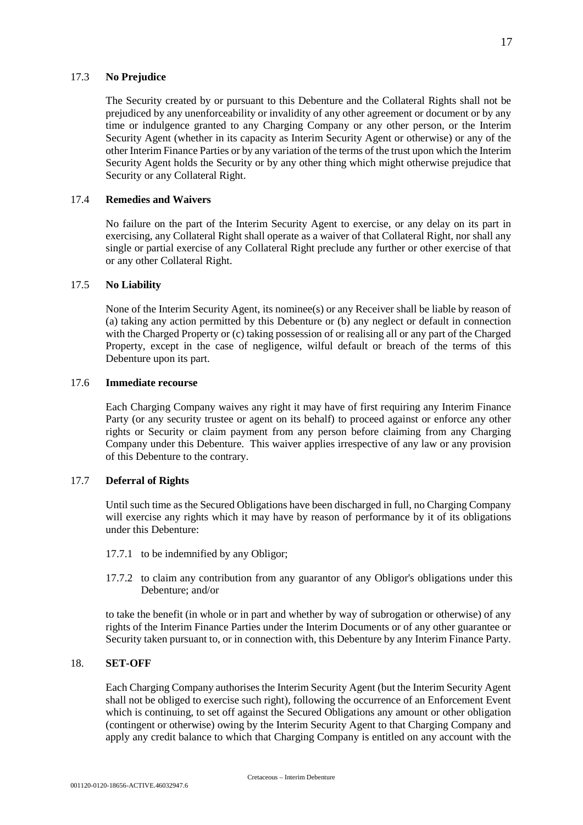The Security created by or pursuant to this Debenture and the Collateral Rights shall not be prejudiced by any unenforceability or invalidity of any other agreement or document or by any time or indulgence granted to any Charging Company or any other person, or the Interim Security Agent (whether in its capacity as Interim Security Agent or otherwise) or any of the other Interim Finance Parties or by any variation of the terms of the trust upon which the Interim Security Agent holds the Security or by any other thing which might otherwise prejudice that Security or any Collateral Right.

#### 17.4 **Remedies and Waivers**

No failure on the part of the Interim Security Agent to exercise, or any delay on its part in exercising, any Collateral Right shall operate as a waiver of that Collateral Right, nor shall any single or partial exercise of any Collateral Right preclude any further or other exercise of that or any other Collateral Right.

# 17.5 **No Liability**

None of the Interim Security Agent, its nominee(s) or any Receiver shall be liable by reason of (a) taking any action permitted by this Debenture or (b) any neglect or default in connection with the Charged Property or (c) taking possession of or realising all or any part of the Charged Property, except in the case of negligence, wilful default or breach of the terms of this Debenture upon its part.

### 17.6 **Immediate recourse**

Each Charging Company waives any right it may have of first requiring any Interim Finance Party (or any security trustee or agent on its behalf) to proceed against or enforce any other rights or Security or claim payment from any person before claiming from any Charging Company under this Debenture. This waiver applies irrespective of any law or any provision of this Debenture to the contrary.

## 17.7 **Deferral of Rights**

Until such time as the Secured Obligations have been discharged in full, no Charging Company will exercise any rights which it may have by reason of performance by it of its obligations under this Debenture:

- 17.7.1 to be indemnified by any Obligor;
- 17.7.2 to claim any contribution from any guarantor of any Obligor's obligations under this Debenture; and/or

to take the benefit (in whole or in part and whether by way of subrogation or otherwise) of any rights of the Interim Finance Parties under the Interim Documents or of any other guarantee or Security taken pursuant to, or in connection with, this Debenture by any Interim Finance Party.

#### 18. **SET-OFF**

Each Charging Company authorises the Interim Security Agent (but the Interim Security Agent shall not be obliged to exercise such right), following the occurrence of an Enforcement Event which is continuing, to set off against the Secured Obligations any amount or other obligation (contingent or otherwise) owing by the Interim Security Agent to that Charging Company and apply any credit balance to which that Charging Company is entitled on any account with the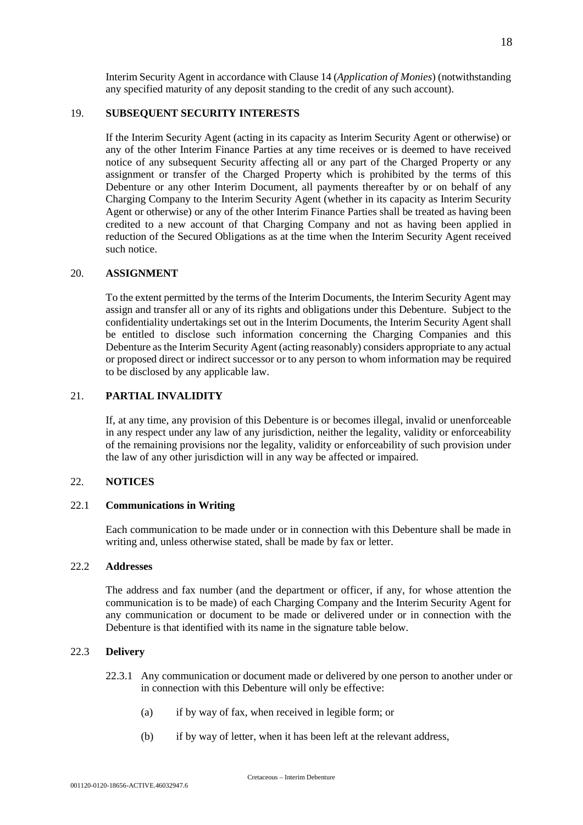Interim Security Agent in accordance with Clause 14 (*Application of Monies*) (notwithstanding any specified maturity of any deposit standing to the credit of any such account).

## 19. **SUBSEQUENT SECURITY INTERESTS**

If the Interim Security Agent (acting in its capacity as Interim Security Agent or otherwise) or any of the other Interim Finance Parties at any time receives or is deemed to have received notice of any subsequent Security affecting all or any part of the Charged Property or any assignment or transfer of the Charged Property which is prohibited by the terms of this Debenture or any other Interim Document, all payments thereafter by or on behalf of any Charging Company to the Interim Security Agent (whether in its capacity as Interim Security Agent or otherwise) or any of the other Interim Finance Parties shall be treated as having been credited to a new account of that Charging Company and not as having been applied in reduction of the Secured Obligations as at the time when the Interim Security Agent received such notice.

#### 20. **ASSIGNMENT**

To the extent permitted by the terms of the Interim Documents, the Interim Security Agent may assign and transfer all or any of its rights and obligations under this Debenture. Subject to the confidentiality undertakings set out in the Interim Documents, the Interim Security Agent shall be entitled to disclose such information concerning the Charging Companies and this Debenture as the Interim Security Agent (acting reasonably) considers appropriate to any actual or proposed direct or indirect successor or to any person to whom information may be required to be disclosed by any applicable law.

## 21. **PARTIAL INVALIDITY**

If, at any time, any provision of this Debenture is or becomes illegal, invalid or unenforceable in any respect under any law of any jurisdiction, neither the legality, validity or enforceability of the remaining provisions nor the legality, validity or enforceability of such provision under the law of any other jurisdiction will in any way be affected or impaired.

#### 22. **NOTICES**

#### 22.1 **Communications in Writing**

Each communication to be made under or in connection with this Debenture shall be made in writing and, unless otherwise stated, shall be made by fax or letter.

# 22.2 **Addresses**

The address and fax number (and the department or officer, if any, for whose attention the communication is to be made) of each Charging Company and the Interim Security Agent for any communication or document to be made or delivered under or in connection with the Debenture is that identified with its name in the signature table below.

## 22.3 **Delivery**

- 22.3.1 Any communication or document made or delivered by one person to another under or in connection with this Debenture will only be effective:
	- (a) if by way of fax, when received in legible form; or
	- (b) if by way of letter, when it has been left at the relevant address,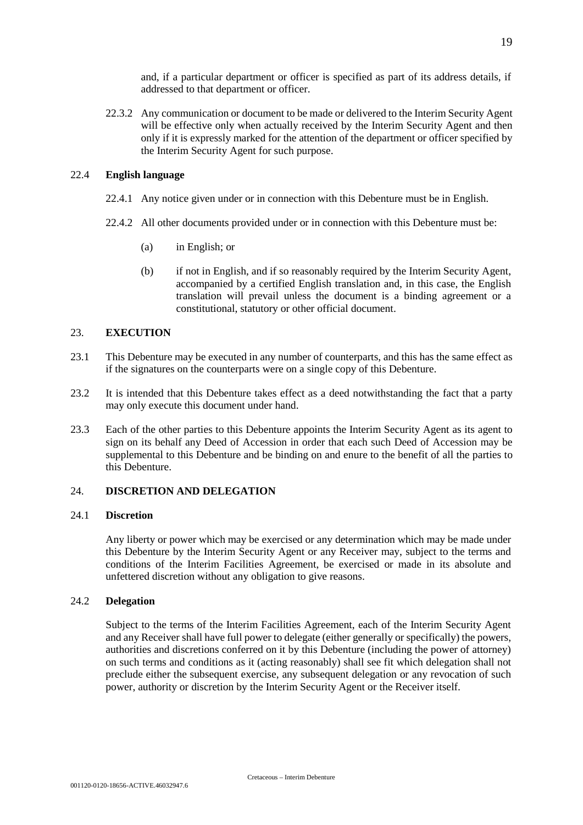and, if a particular department or officer is specified as part of its address details, if addressed to that department or officer.

22.3.2 Any communication or document to be made or delivered to the Interim Security Agent will be effective only when actually received by the Interim Security Agent and then only if it is expressly marked for the attention of the department or officer specified by the Interim Security Agent for such purpose.

### 22.4 **English language**

- 22.4.1 Any notice given under or in connection with this Debenture must be in English.
- 22.4.2 All other documents provided under or in connection with this Debenture must be:
	- (a) in English; or
	- (b) if not in English, and if so reasonably required by the Interim Security Agent, accompanied by a certified English translation and, in this case, the English translation will prevail unless the document is a binding agreement or a constitutional, statutory or other official document.

#### 23. **EXECUTION**

- 23.1 This Debenture may be executed in any number of counterparts, and this has the same effect as if the signatures on the counterparts were on a single copy of this Debenture.
- 23.2 It is intended that this Debenture takes effect as a deed notwithstanding the fact that a party may only execute this document under hand.
- 23.3 Each of the other parties to this Debenture appoints the Interim Security Agent as its agent to sign on its behalf any Deed of Accession in order that each such Deed of Accession may be supplemental to this Debenture and be binding on and enure to the benefit of all the parties to this Debenture.

# 24. **DISCRETION AND DELEGATION**

### 24.1 **Discretion**

Any liberty or power which may be exercised or any determination which may be made under this Debenture by the Interim Security Agent or any Receiver may, subject to the terms and conditions of the Interim Facilities Agreement, be exercised or made in its absolute and unfettered discretion without any obligation to give reasons.

## 24.2 **Delegation**

Subject to the terms of the Interim Facilities Agreement, each of the Interim Security Agent and any Receiver shall have full power to delegate (either generally or specifically) the powers, authorities and discretions conferred on it by this Debenture (including the power of attorney) on such terms and conditions as it (acting reasonably) shall see fit which delegation shall not preclude either the subsequent exercise, any subsequent delegation or any revocation of such power, authority or discretion by the Interim Security Agent or the Receiver itself.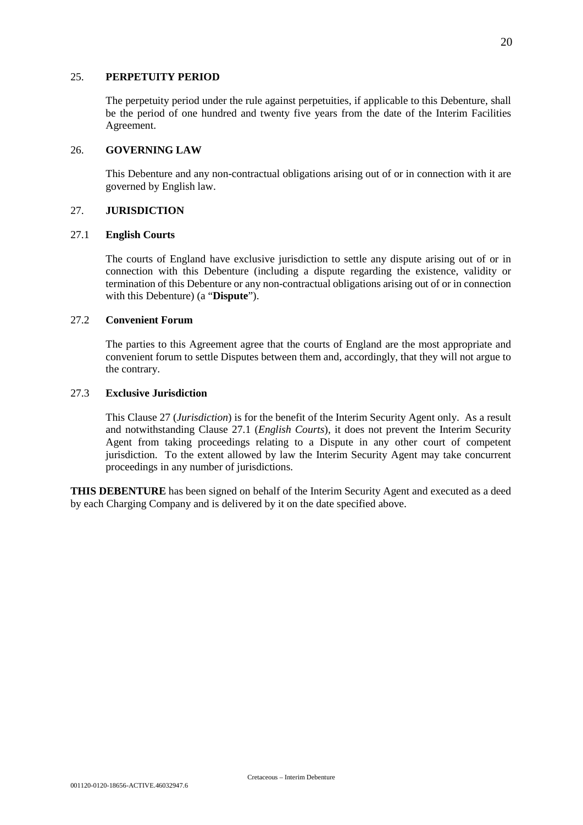#### 25. **PERPETUITY PERIOD**

The perpetuity period under the rule against perpetuities, if applicable to this Debenture, shall be the period of one hundred and twenty five years from the date of the Interim Facilities Agreement.

### 26. **GOVERNING LAW**

This Debenture and any non-contractual obligations arising out of or in connection with it are governed by English law.

#### 27. **JURISDICTION**

#### 27.1 **English Courts**

The courts of England have exclusive jurisdiction to settle any dispute arising out of or in connection with this Debenture (including a dispute regarding the existence, validity or termination of this Debenture or any non-contractual obligations arising out of or in connection with this Debenture) (a "**Dispute**").

## 27.2 **Convenient Forum**

The parties to this Agreement agree that the courts of England are the most appropriate and convenient forum to settle Disputes between them and, accordingly, that they will not argue to the contrary.

# 27.3 **Exclusive Jurisdiction**

This Clause 27 (*Jurisdiction*) is for the benefit of the Interim Security Agent only. As a result and notwithstanding Clause 27.1 (*English Courts*), it does not prevent the Interim Security Agent from taking proceedings relating to a Dispute in any other court of competent jurisdiction. To the extent allowed by law the Interim Security Agent may take concurrent proceedings in any number of jurisdictions.

**THIS DEBENTURE** has been signed on behalf of the Interim Security Agent and executed as a deed by each Charging Company and is delivered by it on the date specified above.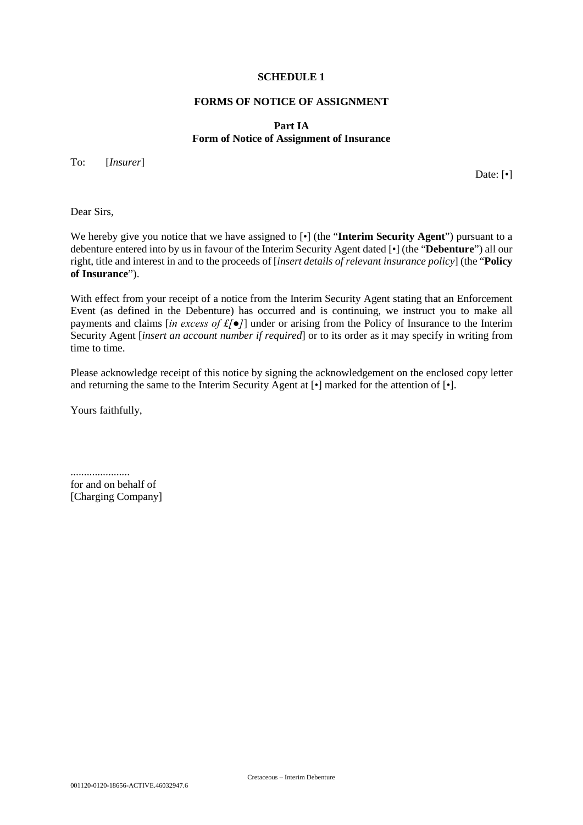### **SCHEDULE 1**

### **FORMS OF NOTICE OF ASSIGNMENT**

# **Part IA Form of Notice of Assignment of Insurance**

To: [*Insurer*]

Date: [ $\bullet$ ]

Dear Sirs,

We hereby give you notice that we have assigned to  $\lceil \cdot \rceil$  (the "**Interim Security Agent**") pursuant to a debenture entered into by us in favour of the Interim Security Agent dated [•] (the "**Debenture**") all our right, title and interest in and to the proceeds of [*insert details of relevant insurance policy*] (the "**Policy of Insurance**").

With effect from your receipt of a notice from the Interim Security Agent stating that an Enforcement Event (as defined in the Debenture) has occurred and is continuing, we instruct you to make all payments and claims [*in excess of £[●]*] under or arising from the Policy of Insurance to the Interim Security Agent [*insert an account number if required*] or to its order as it may specify in writing from time to time.

Please acknowledge receipt of this notice by signing the acknowledgement on the enclosed copy letter and returning the same to the Interim Security Agent at [•] marked for the attention of [•].

Yours faithfully,

...................... for and on behalf of [Charging Company]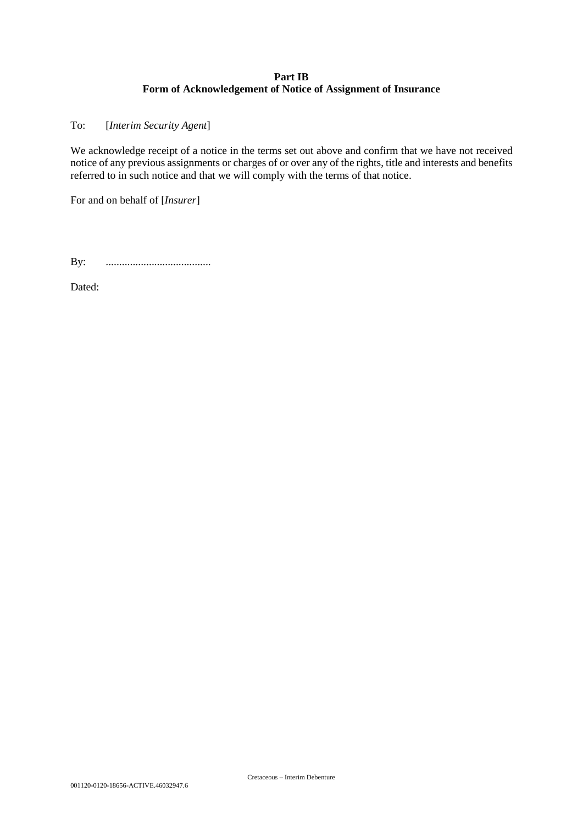# **Part IB Form of Acknowledgement of Notice of Assignment of Insurance**

To: [*Interim Security Agent*]

We acknowledge receipt of a notice in the terms set out above and confirm that we have not received notice of any previous assignments or charges of or over any of the rights, title and interests and benefits referred to in such notice and that we will comply with the terms of that notice.

For and on behalf of [*Insurer*]

By: .......................................

Dated: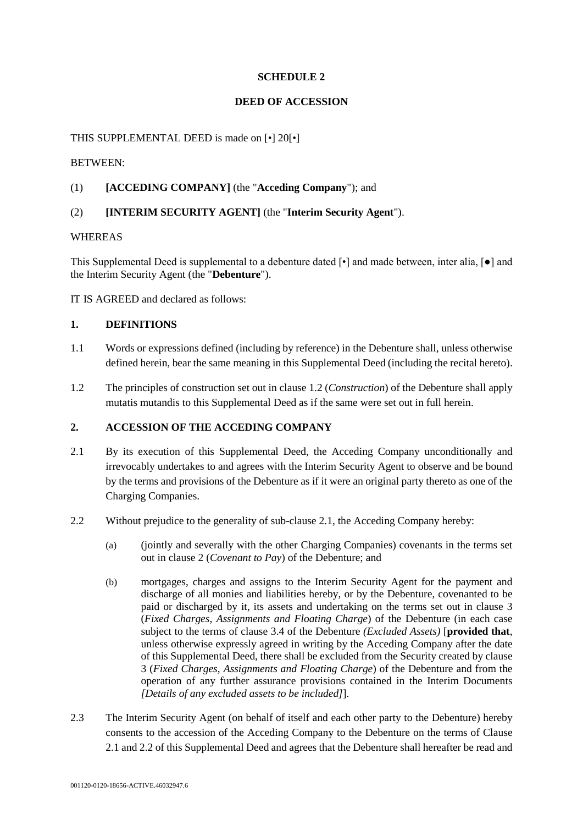# **SCHEDULE 2**

# **DEED OF ACCESSION**

# THIS SUPPLEMENTAL DEED is made on [•] 20[•]

# BETWEEN:

# (1) **[ACCEDING COMPANY]** (the "**Acceding Company**"); and

# (2) **[INTERIM SECURITY AGENT]** (the "**Interim Security Agent**").

## WHEREAS

This Supplemental Deed is supplemental to a debenture dated [•] and made between, inter alia, [●] and the Interim Security Agent (the "**Debenture**").

IT IS AGREED and declared as follows:

# **1. DEFINITIONS**

- 1.1 Words or expressions defined (including by reference) in the Debenture shall, unless otherwise defined herein, bear the same meaning in this Supplemental Deed (including the recital hereto).
- 1.2 The principles of construction set out in clause 1.2 (*Construction*) of the Debenture shall apply mutatis mutandis to this Supplemental Deed as if the same were set out in full herein.

# **2. ACCESSION OF THE ACCEDING COMPANY**

- 2.1 By its execution of this Supplemental Deed, the Acceding Company unconditionally and irrevocably undertakes to and agrees with the Interim Security Agent to observe and be bound by the terms and provisions of the Debenture as if it were an original party thereto as one of the Charging Companies.
- 2.2 Without prejudice to the generality of sub-clause 2.1, the Acceding Company hereby:
	- (a) (jointly and severally with the other Charging Companies) covenants in the terms set out in clause 2 (*Covenant to Pay*) of the Debenture; and
	- (b) mortgages, charges and assigns to the Interim Security Agent for the payment and discharge of all monies and liabilities hereby, or by the Debenture, covenanted to be paid or discharged by it, its assets and undertaking on the terms set out in clause 3 (*Fixed Charges, Assignments and Floating Charge*) of the Debenture (in each case subject to the terms of clause 3.4 of the Debenture *(Excluded Assets)* [**provided that**, unless otherwise expressly agreed in writing by the Acceding Company after the date of this Supplemental Deed, there shall be excluded from the Security created by clause 3 (*Fixed Charges, Assignments and Floating Charge*) of the Debenture and from the operation of any further assurance provisions contained in the Interim Documents *[Details of any excluded assets to be included]*].
- 2.3 The Interim Security Agent (on behalf of itself and each other party to the Debenture) hereby consents to the accession of the Acceding Company to the Debenture on the terms of Clause 2.1 and 2.2 of this Supplemental Deed and agrees that the Debenture shall hereafter be read and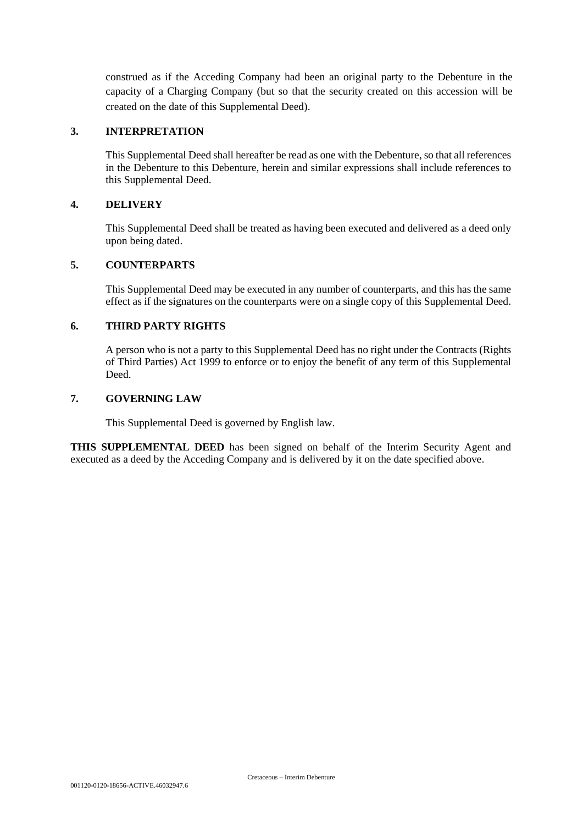construed as if the Acceding Company had been an original party to the Debenture in the capacity of a Charging Company (but so that the security created on this accession will be created on the date of this Supplemental Deed).

# **3. INTERPRETATION**

This Supplemental Deed shall hereafter be read as one with the Debenture, so that all references in the Debenture to this Debenture, herein and similar expressions shall include references to this Supplemental Deed.

## **4. DELIVERY**

This Supplemental Deed shall be treated as having been executed and delivered as a deed only upon being dated.

# **5. COUNTERPARTS**

This Supplemental Deed may be executed in any number of counterparts, and this has the same effect as if the signatures on the counterparts were on a single copy of this Supplemental Deed.

#### **6. THIRD PARTY RIGHTS**

A person who is not a party to this Supplemental Deed has no right under the Contracts (Rights of Third Parties) Act 1999 to enforce or to enjoy the benefit of any term of this Supplemental Deed.

#### **7. GOVERNING LAW**

This Supplemental Deed is governed by English law.

**THIS SUPPLEMENTAL DEED** has been signed on behalf of the Interim Security Agent and executed as a deed by the Acceding Company and is delivered by it on the date specified above.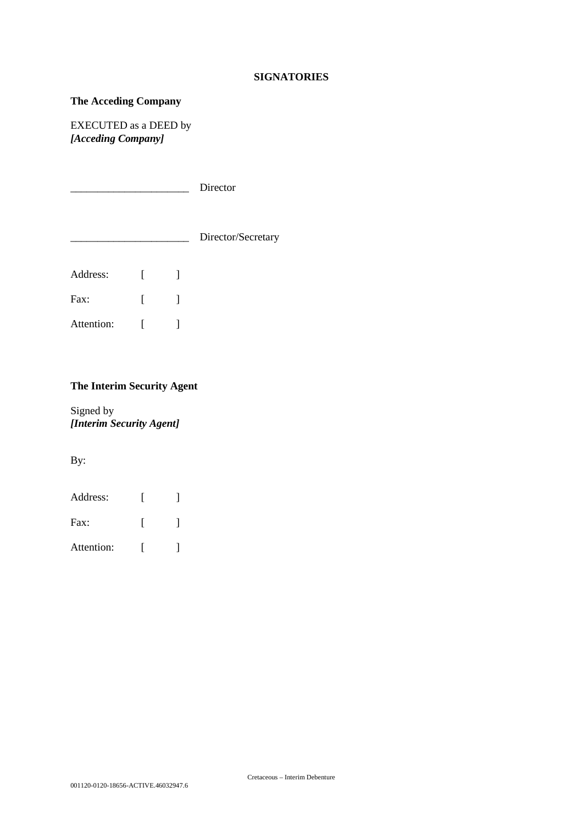### **SIGNATORIES**

# **The Acceding Company**

EXECUTED as a DEED by *[Acceding Company]* 

\_\_\_\_\_\_\_\_\_\_\_\_\_\_\_\_\_\_\_\_\_\_ Director

| Director/Secretary |
|--------------------|
|                    |

| Address:   |  |
|------------|--|
| Fax:       |  |
| Attention: |  |

# **The Interim Security Agent**

Signed by *[Interim Security Agent]* 

By:

| Address:      |  |
|---------------|--|
| $\text{Fax}:$ |  |
| Attention:    |  |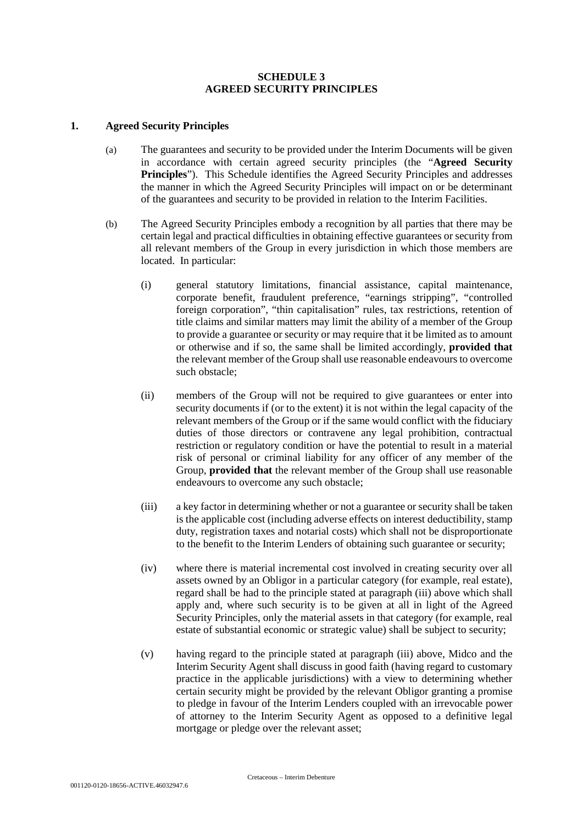## **SCHEDULE 3 AGREED SECURITY PRINCIPLES**

### **1. Agreed Security Principles**

- (a) The guarantees and security to be provided under the Interim Documents will be given in accordance with certain agreed security principles (the "**Agreed Security Principles**"). This Schedule identifies the Agreed Security Principles and addresses the manner in which the Agreed Security Principles will impact on or be determinant of the guarantees and security to be provided in relation to the Interim Facilities.
- (b) The Agreed Security Principles embody a recognition by all parties that there may be certain legal and practical difficulties in obtaining effective guarantees or security from all relevant members of the Group in every jurisdiction in which those members are located. In particular:
	- (i) general statutory limitations, financial assistance, capital maintenance, corporate benefit, fraudulent preference, "earnings stripping", "controlled foreign corporation", "thin capitalisation" rules, tax restrictions, retention of title claims and similar matters may limit the ability of a member of the Group to provide a guarantee or security or may require that it be limited as to amount or otherwise and if so, the same shall be limited accordingly, **provided that** the relevant member of the Group shall use reasonable endeavours to overcome such obstacle;
	- (ii) members of the Group will not be required to give guarantees or enter into security documents if (or to the extent) it is not within the legal capacity of the relevant members of the Group or if the same would conflict with the fiduciary duties of those directors or contravene any legal prohibition, contractual restriction or regulatory condition or have the potential to result in a material risk of personal or criminal liability for any officer of any member of the Group, **provided that** the relevant member of the Group shall use reasonable endeavours to overcome any such obstacle;
	- (iii) a key factor in determining whether or not a guarantee or security shall be taken is the applicable cost (including adverse effects on interest deductibility, stamp duty, registration taxes and notarial costs) which shall not be disproportionate to the benefit to the Interim Lenders of obtaining such guarantee or security;
	- (iv) where there is material incremental cost involved in creating security over all assets owned by an Obligor in a particular category (for example, real estate), regard shall be had to the principle stated at paragraph (iii) above which shall apply and, where such security is to be given at all in light of the Agreed Security Principles, only the material assets in that category (for example, real estate of substantial economic or strategic value) shall be subject to security;
	- (v) having regard to the principle stated at paragraph (iii) above, Midco and the Interim Security Agent shall discuss in good faith (having regard to customary practice in the applicable jurisdictions) with a view to determining whether certain security might be provided by the relevant Obligor granting a promise to pledge in favour of the Interim Lenders coupled with an irrevocable power of attorney to the Interim Security Agent as opposed to a definitive legal mortgage or pledge over the relevant asset;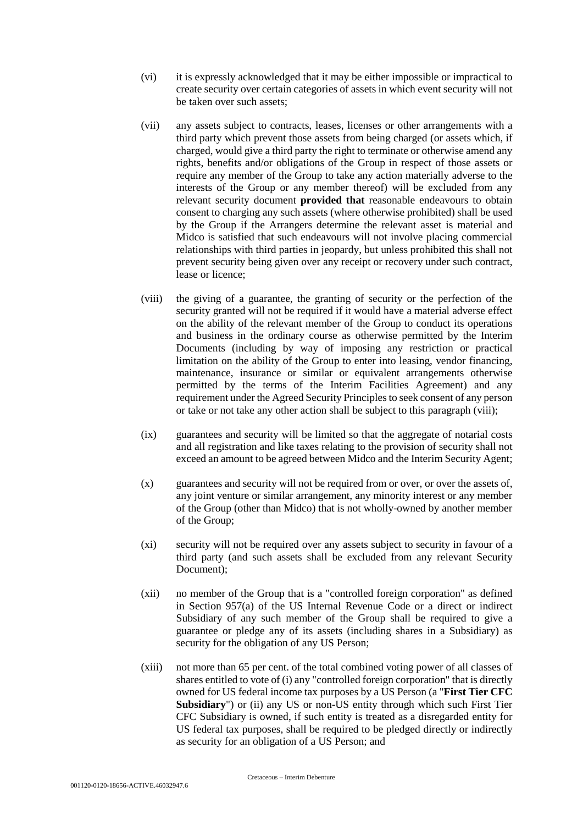- (vi) it is expressly acknowledged that it may be either impossible or impractical to create security over certain categories of assets in which event security will not be taken over such assets;
- (vii) any assets subject to contracts, leases, licenses or other arrangements with a third party which prevent those assets from being charged (or assets which, if charged, would give a third party the right to terminate or otherwise amend any rights, benefits and/or obligations of the Group in respect of those assets or require any member of the Group to take any action materially adverse to the interests of the Group or any member thereof) will be excluded from any relevant security document **provided that** reasonable endeavours to obtain consent to charging any such assets (where otherwise prohibited) shall be used by the Group if the Arrangers determine the relevant asset is material and Midco is satisfied that such endeavours will not involve placing commercial relationships with third parties in jeopardy, but unless prohibited this shall not prevent security being given over any receipt or recovery under such contract, lease or licence;
- (viii) the giving of a guarantee, the granting of security or the perfection of the security granted will not be required if it would have a material adverse effect on the ability of the relevant member of the Group to conduct its operations and business in the ordinary course as otherwise permitted by the Interim Documents (including by way of imposing any restriction or practical limitation on the ability of the Group to enter into leasing, vendor financing, maintenance, insurance or similar or equivalent arrangements otherwise permitted by the terms of the Interim Facilities Agreement) and any requirement under the Agreed Security Principles to seek consent of any person or take or not take any other action shall be subject to this paragraph (viii);
- (ix) guarantees and security will be limited so that the aggregate of notarial costs and all registration and like taxes relating to the provision of security shall not exceed an amount to be agreed between Midco and the Interim Security Agent;
- (x) guarantees and security will not be required from or over, or over the assets of, any joint venture or similar arrangement, any minority interest or any member of the Group (other than Midco) that is not wholly-owned by another member of the Group;
- (xi) security will not be required over any assets subject to security in favour of a third party (and such assets shall be excluded from any relevant Security Document);
- (xii) no member of the Group that is a "controlled foreign corporation" as defined in Section 957(a) of the US Internal Revenue Code or a direct or indirect Subsidiary of any such member of the Group shall be required to give a guarantee or pledge any of its assets (including shares in a Subsidiary) as security for the obligation of any US Person;
- (xiii) not more than 65 per cent. of the total combined voting power of all classes of shares entitled to vote of (i) any "controlled foreign corporation" that is directly owned for US federal income tax purposes by a US Person (a "**First Tier CFC Subsidiary**") or (ii) any US or non-US entity through which such First Tier CFC Subsidiary is owned, if such entity is treated as a disregarded entity for US federal tax purposes, shall be required to be pledged directly or indirectly as security for an obligation of a US Person; and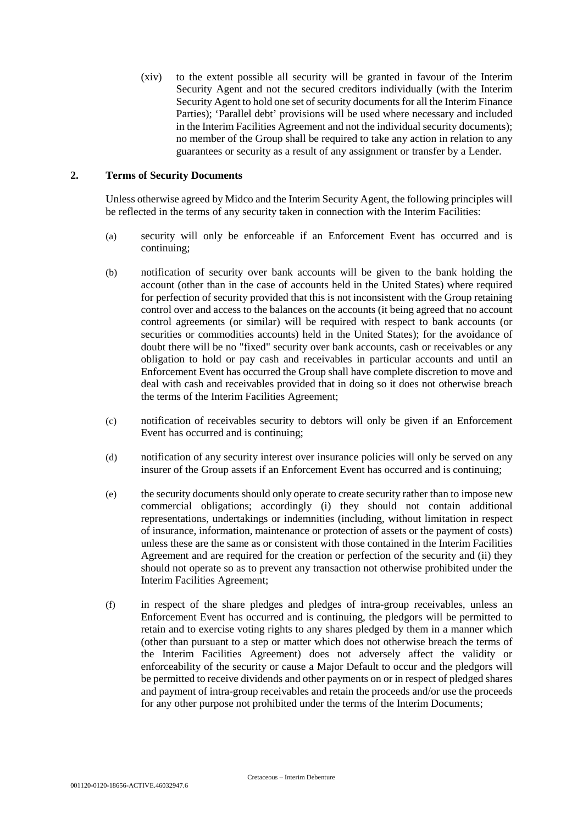(xiv) to the extent possible all security will be granted in favour of the Interim Security Agent and not the secured creditors individually (with the Interim Security Agent to hold one set of security documents for all the Interim Finance Parties); 'Parallel debt' provisions will be used where necessary and included in the Interim Facilities Agreement and not the individual security documents); no member of the Group shall be required to take any action in relation to any guarantees or security as a result of any assignment or transfer by a Lender.

### **2. Terms of Security Documents**

Unless otherwise agreed by Midco and the Interim Security Agent, the following principles will be reflected in the terms of any security taken in connection with the Interim Facilities:

- (a) security will only be enforceable if an Enforcement Event has occurred and is continuing;
- (b) notification of security over bank accounts will be given to the bank holding the account (other than in the case of accounts held in the United States) where required for perfection of security provided that this is not inconsistent with the Group retaining control over and access to the balances on the accounts (it being agreed that no account control agreements (or similar) will be required with respect to bank accounts (or securities or commodities accounts) held in the United States); for the avoidance of doubt there will be no "fixed" security over bank accounts, cash or receivables or any obligation to hold or pay cash and receivables in particular accounts and until an Enforcement Event has occurred the Group shall have complete discretion to move and deal with cash and receivables provided that in doing so it does not otherwise breach the terms of the Interim Facilities Agreement;
- (c) notification of receivables security to debtors will only be given if an Enforcement Event has occurred and is continuing;
- (d) notification of any security interest over insurance policies will only be served on any insurer of the Group assets if an Enforcement Event has occurred and is continuing;
- (e) the security documents should only operate to create security rather than to impose new commercial obligations; accordingly (i) they should not contain additional representations, undertakings or indemnities (including, without limitation in respect of insurance, information, maintenance or protection of assets or the payment of costs) unless these are the same as or consistent with those contained in the Interim Facilities Agreement and are required for the creation or perfection of the security and (ii) they should not operate so as to prevent any transaction not otherwise prohibited under the Interim Facilities Agreement;
- (f) in respect of the share pledges and pledges of intra-group receivables, unless an Enforcement Event has occurred and is continuing, the pledgors will be permitted to retain and to exercise voting rights to any shares pledged by them in a manner which (other than pursuant to a step or matter which does not otherwise breach the terms of the Interim Facilities Agreement) does not adversely affect the validity or enforceability of the security or cause a Major Default to occur and the pledgors will be permitted to receive dividends and other payments on or in respect of pledged shares and payment of intra-group receivables and retain the proceeds and/or use the proceeds for any other purpose not prohibited under the terms of the Interim Documents;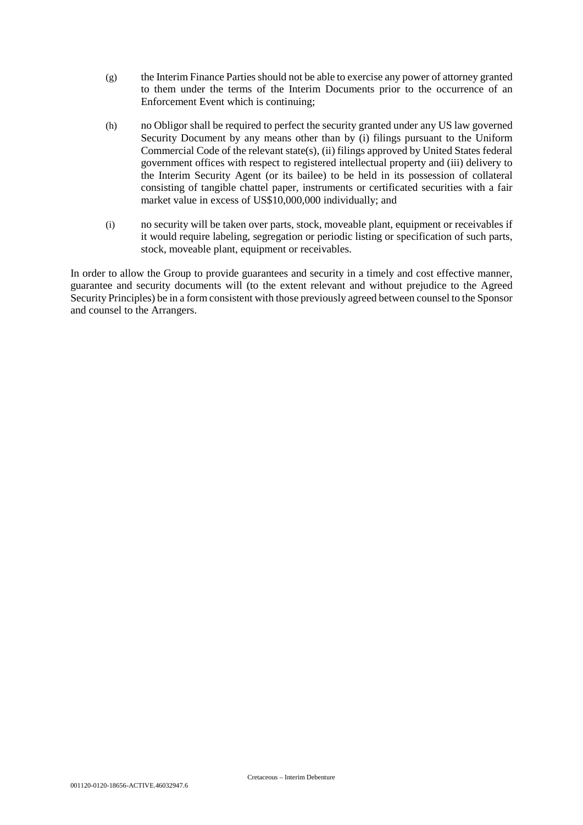- (g) the Interim Finance Parties should not be able to exercise any power of attorney granted to them under the terms of the Interim Documents prior to the occurrence of an Enforcement Event which is continuing;
- (h) no Obligor shall be required to perfect the security granted under any US law governed Security Document by any means other than by (i) filings pursuant to the Uniform Commercial Code of the relevant state(s), (ii) filings approved by United States federal government offices with respect to registered intellectual property and (iii) delivery to the Interim Security Agent (or its bailee) to be held in its possession of collateral consisting of tangible chattel paper, instruments or certificated securities with a fair market value in excess of US\$10,000,000 individually; and
- (i) no security will be taken over parts, stock, moveable plant, equipment or receivables if it would require labeling, segregation or periodic listing or specification of such parts, stock, moveable plant, equipment or receivables.

In order to allow the Group to provide guarantees and security in a timely and cost effective manner, guarantee and security documents will (to the extent relevant and without prejudice to the Agreed Security Principles) be in a form consistent with those previously agreed between counsel to the Sponsor and counsel to the Arrangers.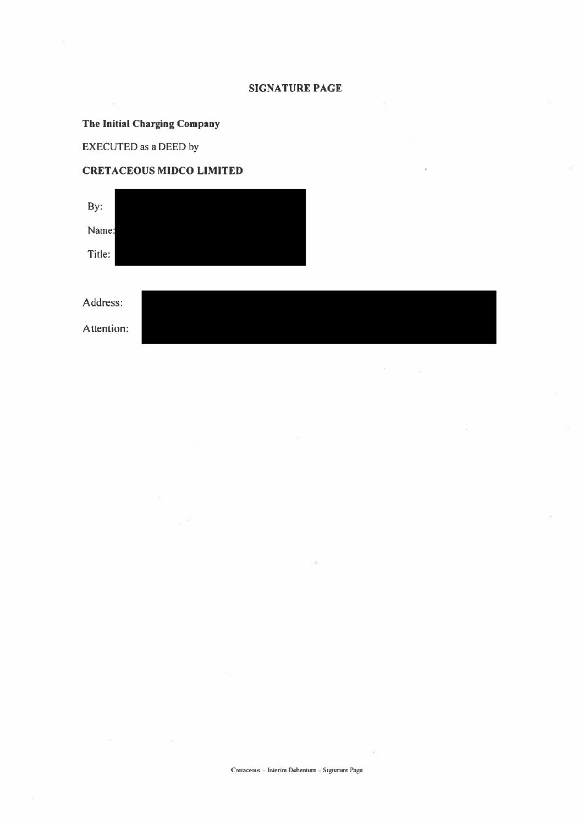## **SIGNATURE PAGE**

# The Initial Charging Company

EXECUTED as a DEED by

 $\overline{\phantom{a}}$ 

# **CRETACEOUS MIDCO LIMITED**



Address: Attention: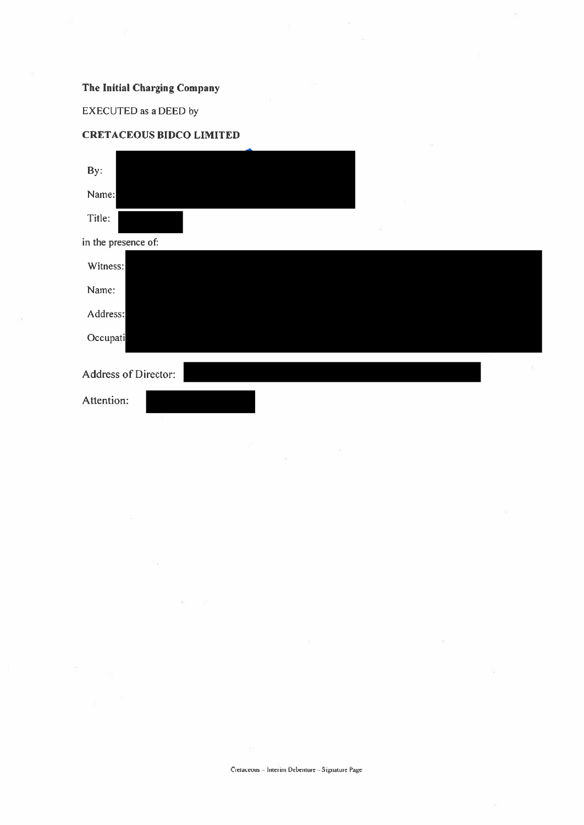# The Initial Charging Company

EXECUTED as a DEED by

ò,



**CRETACEOUS BIDCO LIMITED**